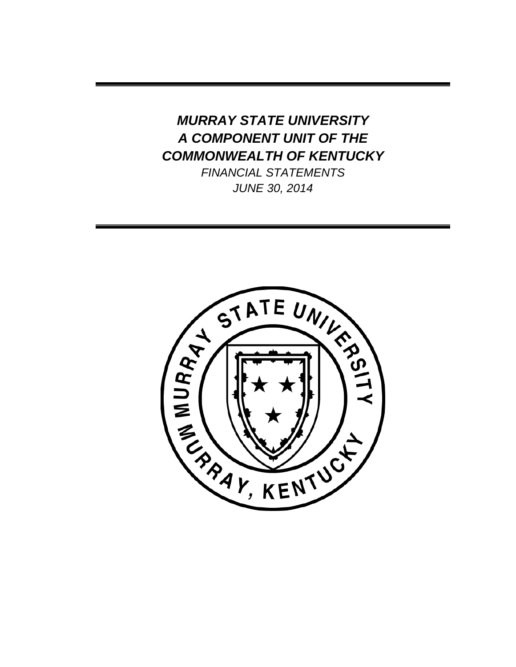# *MURRAY STATE UNIVERSITY A COMPONENT UNIT OF THE COMMONWEALTH OF KENTUCKY*

*FINANCIAL STATEMENTS JUNE 30, 2014* 

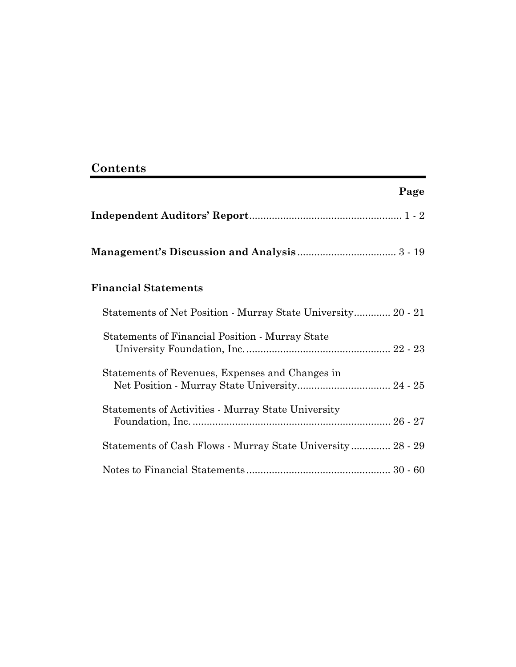# **Contents**

|                                                              | Page |
|--------------------------------------------------------------|------|
|                                                              |      |
|                                                              |      |
| <b>Financial Statements</b>                                  |      |
| Statements of Net Position - Murray State University 20 - 21 |      |
| Statements of Financial Position - Murray State              |      |
| Statements of Revenues, Expenses and Changes in              |      |
| Statements of Activities - Murray State University           |      |
| Statements of Cash Flows - Murray State University 28 - 29   |      |
|                                                              |      |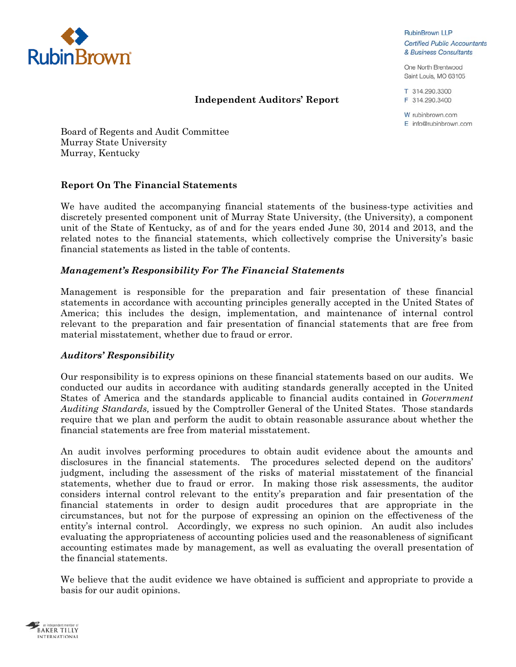

**RubinBrown LLP Certified Public Accountants** & Business Consultants

One North Brentwood Saint Louis, MO 63105

T 314.290.3300 F 314.290.3400

W rubinbrown.com  $E$  info@rubinbrown.com

Board of Regents and Audit Committee Murray State University Murray, Kentucky

#### **Report On The Financial Statements**

We have audited the accompanying financial statements of the business-type activities and discretely presented component unit of Murray State University, (the University), a component unit of the State of Kentucky, as of and for the years ended June 30, 2014 and 2013, and the related notes to the financial statements, which collectively comprise the University's basic financial statements as listed in the table of contents.

**Independent Auditors' Report** 

#### *Management's Responsibility For The Financial Statements*

Management is responsible for the preparation and fair presentation of these financial statements in accordance with accounting principles generally accepted in the United States of America; this includes the design, implementation, and maintenance of internal control relevant to the preparation and fair presentation of financial statements that are free from material misstatement, whether due to fraud or error.

#### *Auditors' Responsibility*

Our responsibility is to express opinions on these financial statements based on our audits. We conducted our audits in accordance with auditing standards generally accepted in the United States of America and the standards applicable to financial audits contained in *Government Auditing Standards,* issued by the Comptroller General of the United States. Those standards require that we plan and perform the audit to obtain reasonable assurance about whether the financial statements are free from material misstatement.

An audit involves performing procedures to obtain audit evidence about the amounts and disclosures in the financial statements. The procedures selected depend on the auditors' judgment, including the assessment of the risks of material misstatement of the financial statements, whether due to fraud or error. In making those risk assessments, the auditor considers internal control relevant to the entity's preparation and fair presentation of the financial statements in order to design audit procedures that are appropriate in the circumstances, but not for the purpose of expressing an opinion on the effectiveness of the entity's internal control. Accordingly, we express no such opinion. An audit also includes evaluating the appropriateness of accounting policies used and the reasonableness of significant accounting estimates made by management, as well as evaluating the overall presentation of the financial statements.

We believe that the audit evidence we have obtained is sufficient and appropriate to provide a basis for our audit opinions.

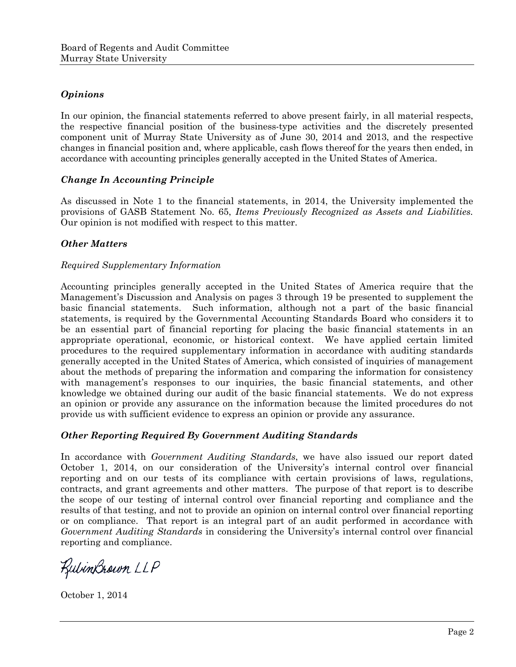### *Opinions*

In our opinion, the financial statements referred to above present fairly, in all material respects, the respective financial position of the business-type activities and the discretely presented component unit of Murray State University as of June 30, 2014 and 2013, and the respective changes in financial position and, where applicable, cash flows thereof for the years then ended, in accordance with accounting principles generally accepted in the United States of America.

#### *Change In Accounting Principle*

As discussed in Note 1 to the financial statements, in 2014, the University implemented the provisions of GASB Statement No. 65, *Items Previously Recognized as Assets and Liabilities.* Our opinion is not modified with respect to this matter.

#### *Other Matters*

#### *Required Supplementary Information*

Accounting principles generally accepted in the United States of America require that the Management's Discussion and Analysis on pages 3 through 19 be presented to supplement the basic financial statements. Such information, although not a part of the basic financial statements, is required by the Governmental Accounting Standards Board who considers it to be an essential part of financial reporting for placing the basic financial statements in an appropriate operational, economic, or historical context. We have applied certain limited procedures to the required supplementary information in accordance with auditing standards generally accepted in the United States of America, which consisted of inquiries of management about the methods of preparing the information and comparing the information for consistency with management's responses to our inquiries, the basic financial statements, and other knowledge we obtained during our audit of the basic financial statements. We do not express an opinion or provide any assurance on the information because the limited procedures do not provide us with sufficient evidence to express an opinion or provide any assurance.

#### *Other Reporting Required By Government Auditing Standards*

In accordance with *Government Auditing Standards*, we have also issued our report dated October 1, 2014, on our consideration of the University's internal control over financial reporting and on our tests of its compliance with certain provisions of laws, regulations, contracts, and grant agreements and other matters. The purpose of that report is to describe the scope of our testing of internal control over financial reporting and compliance and the results of that testing, and not to provide an opinion on internal control over financial reporting or on compliance. That report is an integral part of an audit performed in accordance with *Government Auditing Standards* in considering the University's internal control over financial reporting and compliance.

RubinBrown LLP

October 1, 2014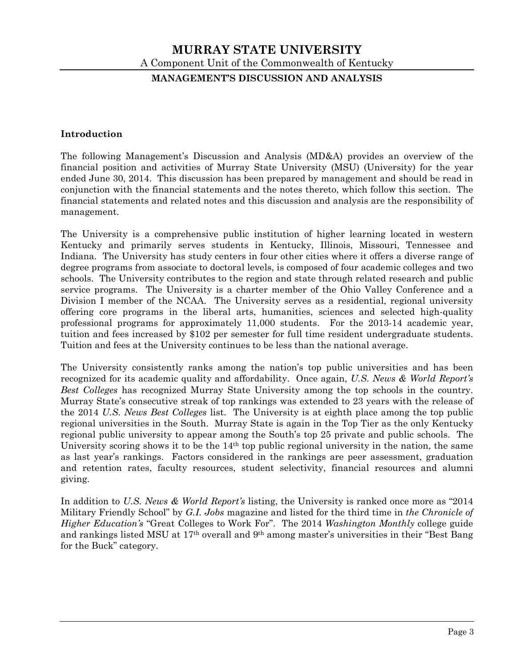#### **MANAGEMENT'S DISCUSSION AND ANALYSIS**

#### **Introduction**

The following Management's Discussion and Analysis (MD&A) provides an overview of the financial position and activities of Murray State University (MSU) (University) for the year ended June 30, 2014. This discussion has been prepared by management and should be read in conjunction with the financial statements and the notes thereto, which follow this section. The financial statements and related notes and this discussion and analysis are the responsibility of management.

The University is a comprehensive public institution of higher learning located in western Kentucky and primarily serves students in Kentucky, Illinois, Missouri, Tennessee and Indiana. The University has study centers in four other cities where it offers a diverse range of degree programs from associate to doctoral levels, is composed of four academic colleges and two schools. The University contributes to the region and state through related research and public service programs. The University is a charter member of the Ohio Valley Conference and a Division I member of the NCAA. The University serves as a residential, regional university offering core programs in the liberal arts, humanities, sciences and selected high-quality professional programs for approximately 11,000 students. For the 2013-14 academic year, tuition and fees increased by \$102 per semester for full time resident undergraduate students. Tuition and fees at the University continues to be less than the national average.

The University consistently ranks among the nation's top public universities and has been recognized for its academic quality and affordability. Once again, *U.S. News & World Report's Best Colleges* has recognized Murray State University among the top schools in the country. Murray State's consecutive streak of top rankings was extended to 23 years with the release of the 2014 *U.S. News Best Colleges* list. The University is at eighth place among the top public regional universities in the South. Murray State is again in the Top Tier as the only Kentucky regional public university to appear among the South's top 25 private and public schools. The University scoring shows it to be the  $14<sup>th</sup>$  top public regional university in the nation, the same as last year's rankings. Factors considered in the rankings are peer assessment, graduation and retention rates, faculty resources, student selectivity, financial resources and alumni giving.

In addition to *U.S. News & World Report's* listing, the University is ranked once more as "2014 Military Friendly School" by *G.I. Jobs* magazine and listed for the third time in *the Chronicle of Higher Education's* "Great Colleges to Work For". The 2014 *Washington Monthly* college guide and rankings listed MSU at 17th overall and 9th among master's universities in their "Best Bang for the Buck" category.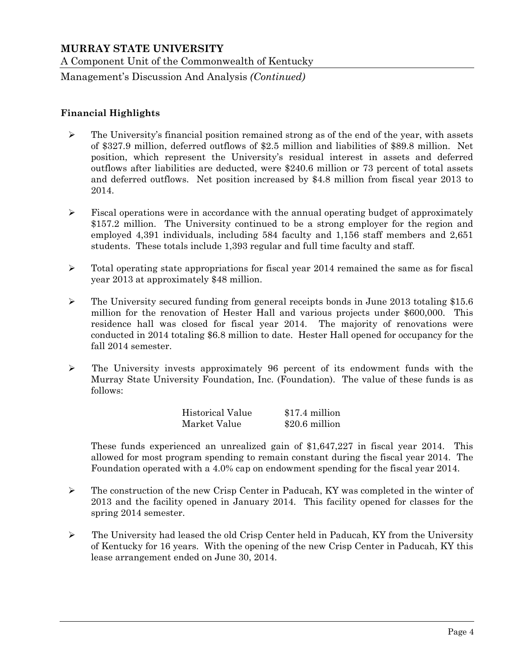Management's Discussion And Analysis *(Continued)*

## **Financial Highlights**

- $\triangleright$  The University's financial position remained strong as of the end of the year, with assets of \$327.9 million, deferred outflows of \$2.5 million and liabilities of \$89.8 million. Net position, which represent the University's residual interest in assets and deferred outflows after liabilities are deducted, were \$240.6 million or 73 percent of total assets and deferred outflows. Net position increased by \$4.8 million from fiscal year 2013 to 2014.
- $\triangleright$  Fiscal operations were in accordance with the annual operating budget of approximately \$157.2 million. The University continued to be a strong employer for the region and employed 4,391 individuals, including 584 faculty and 1,156 staff members and 2,651 students. These totals include 1,393 regular and full time faculty and staff.
- $\triangleright$  Total operating state appropriations for fiscal year 2014 remained the same as for fiscal year 2013 at approximately \$48 million.
- The University secured funding from general receipts bonds in June 2013 totaling \$15.6 million for the renovation of Hester Hall and various projects under \$600,000. This residence hall was closed for fiscal year 2014. The majority of renovations were conducted in 2014 totaling \$6.8 million to date. Hester Hall opened for occupancy for the fall 2014 semester.
- $\triangleright$  The University invests approximately 96 percent of its endowment funds with the Murray State University Foundation, Inc. (Foundation). The value of these funds is as follows:

| <b>Historical Value</b> | \$17.4 million |
|-------------------------|----------------|
| Market Value            | \$20.6 million |

These funds experienced an unrealized gain of \$1,647,227 in fiscal year 2014. This allowed for most program spending to remain constant during the fiscal year 2014. The Foundation operated with a 4.0% cap on endowment spending for the fiscal year 2014.

- $\triangleright$  The construction of the new Crisp Center in Paducah, KY was completed in the winter of 2013 and the facility opened in January 2014. This facility opened for classes for the spring 2014 semester.
- $\triangleright$  The University had leased the old Crisp Center held in Paducah, KY from the University of Kentucky for 16 years. With the opening of the new Crisp Center in Paducah, KY this lease arrangement ended on June 30, 2014.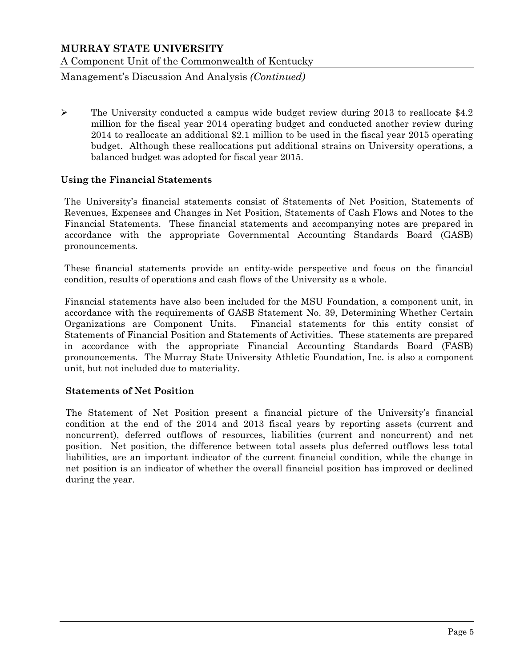Management's Discussion And Analysis *(Continued)*

 $\triangleright$  The University conducted a campus wide budget review during 2013 to reallocate \$4.2 million for the fiscal year 2014 operating budget and conducted another review during 2014 to reallocate an additional \$2.1 million to be used in the fiscal year 2015 operating budget. Although these reallocations put additional strains on University operations, a balanced budget was adopted for fiscal year 2015.

#### **Using the Financial Statements**

The University's financial statements consist of Statements of Net Position, Statements of Revenues, Expenses and Changes in Net Position, Statements of Cash Flows and Notes to the Financial Statements. These financial statements and accompanying notes are prepared in accordance with the appropriate Governmental Accounting Standards Board (GASB) pronouncements.

These financial statements provide an entity-wide perspective and focus on the financial condition, results of operations and cash flows of the University as a whole.

Financial statements have also been included for the MSU Foundation, a component unit, in accordance with the requirements of GASB Statement No. 39, Determining Whether Certain Organizations are Component Units. Financial statements for this entity consist of Statements of Financial Position and Statements of Activities. These statements are prepared in accordance with the appropriate Financial Accounting Standards Board (FASB) pronouncements. The Murray State University Athletic Foundation, Inc. is also a component unit, but not included due to materiality.

#### **Statements of Net Position**

The Statement of Net Position present a financial picture of the University's financial condition at the end of the 2014 and 2013 fiscal years by reporting assets (current and noncurrent), deferred outflows of resources, liabilities (current and noncurrent) and net position. Net position, the difference between total assets plus deferred outflows less total liabilities, are an important indicator of the current financial condition, while the change in net position is an indicator of whether the overall financial position has improved or declined during the year.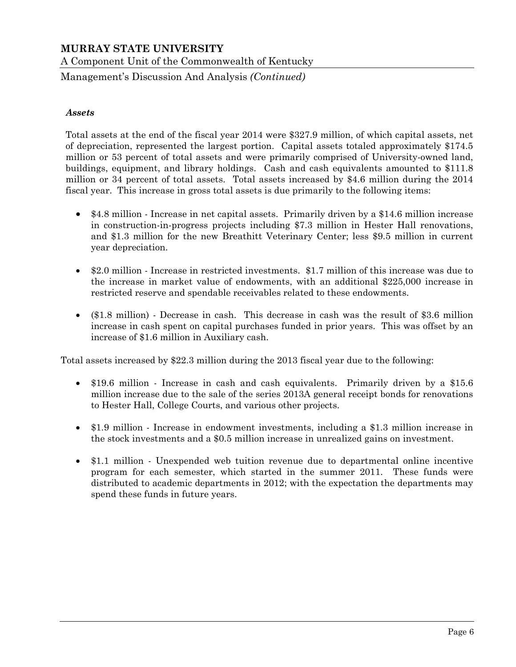A Component Unit of the Commonwealth of Kentucky

Management's Discussion And Analysis *(Continued)*

#### *Assets*

Total assets at the end of the fiscal year 2014 were \$327.9 million, of which capital assets, net of depreciation, represented the largest portion. Capital assets totaled approximately \$174.5 million or 53 percent of total assets and were primarily comprised of University-owned land, buildings, equipment, and library holdings. Cash and cash equivalents amounted to \$111.8 million or 34 percent of total assets. Total assets increased by \$4.6 million during the 2014 fiscal year. This increase in gross total assets is due primarily to the following items:

- \$4.8 million Increase in net capital assets. Primarily driven by a \$14.6 million increase in construction-in-progress projects including \$7.3 million in Hester Hall renovations, and \$1.3 million for the new Breathitt Veterinary Center; less \$9.5 million in current year depreciation.
- \$2.0 million Increase in restricted investments. \$1.7 million of this increase was due to the increase in market value of endowments, with an additional \$225,000 increase in restricted reserve and spendable receivables related to these endowments.
- (\$1.8 million) Decrease in cash. This decrease in cash was the result of \$3.6 million increase in cash spent on capital purchases funded in prior years. This was offset by an increase of \$1.6 million in Auxiliary cash.

Total assets increased by \$22.3 million during the 2013 fiscal year due to the following:

- \$19.6 million Increase in cash and cash equivalents. Primarily driven by a \$15.6 million increase due to the sale of the series 2013A general receipt bonds for renovations to Hester Hall, College Courts, and various other projects.
- \$1.9 million Increase in endowment investments, including a \$1.3 million increase in the stock investments and a \$0.5 million increase in unrealized gains on investment.
- \$1.1 million Unexpended web tuition revenue due to departmental online incentive program for each semester, which started in the summer 2011. These funds were distributed to academic departments in 2012; with the expectation the departments may spend these funds in future years.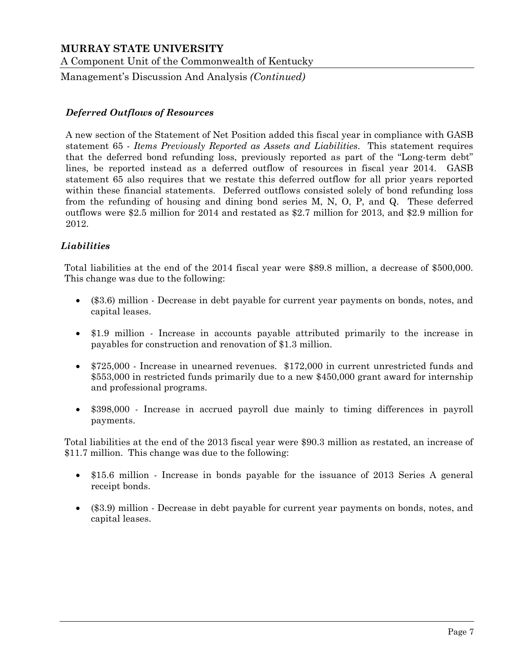Management's Discussion And Analysis *(Continued)*

## *Deferred Outflows of Resources*

A new section of the Statement of Net Position added this fiscal year in compliance with GASB statement 65 - *Items Previously Reported as Assets and Liabilities*. This statement requires that the deferred bond refunding loss, previously reported as part of the "Long-term debt" lines, be reported instead as a deferred outflow of resources in fiscal year 2014. GASB statement 65 also requires that we restate this deferred outflow for all prior years reported within these financial statements. Deferred outflows consisted solely of bond refunding loss from the refunding of housing and dining bond series M, N, O, P, and Q. These deferred outflows were \$2.5 million for 2014 and restated as \$2.7 million for 2013, and \$2.9 million for 2012.

## *Liabilities*

Total liabilities at the end of the 2014 fiscal year were \$89.8 million, a decrease of \$500,000. This change was due to the following:

- (\$3.6) million Decrease in debt payable for current year payments on bonds, notes, and capital leases.
- \$1.9 million Increase in accounts payable attributed primarily to the increase in payables for construction and renovation of \$1.3 million.
- \$725,000 Increase in unearned revenues. \$172,000 in current unrestricted funds and \$553,000 in restricted funds primarily due to a new \$450,000 grant award for internship and professional programs.
- \$398,000 Increase in accrued payroll due mainly to timing differences in payroll payments.

Total liabilities at the end of the 2013 fiscal year were \$90.3 million as restated, an increase of \$11.7 million. This change was due to the following:

- \$15.6 million Increase in bonds payable for the issuance of 2013 Series A general receipt bonds.
- (\$3.9) million Decrease in debt payable for current year payments on bonds, notes, and capital leases.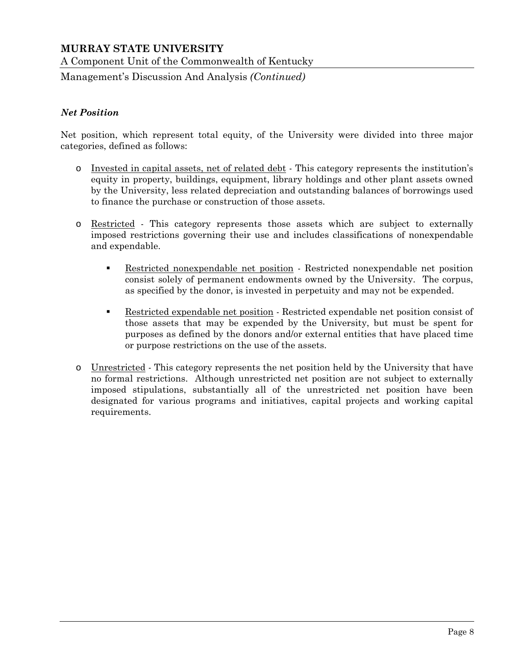A Component Unit of the Commonwealth of Kentucky

Management's Discussion And Analysis *(Continued)*

#### *Net Position*

Net position, which represent total equity, of the University were divided into three major categories, defined as follows:

- o Invested in capital assets, net of related debt This category represents the institution's equity in property, buildings, equipment, library holdings and other plant assets owned by the University, less related depreciation and outstanding balances of borrowings used to finance the purchase or construction of those assets.
- o Restricted This category represents those assets which are subject to externally imposed restrictions governing their use and includes classifications of nonexpendable and expendable.
	- Restricted nonexpendable net position Restricted nonexpendable net position consist solely of permanent endowments owned by the University. The corpus, as specified by the donor, is invested in perpetuity and may not be expended.
	- Restricted expendable net position Restricted expendable net position consist of those assets that may be expended by the University, but must be spent for purposes as defined by the donors and/or external entities that have placed time or purpose restrictions on the use of the assets.
- o Unrestricted This category represents the net position held by the University that have no formal restrictions. Although unrestricted net position are not subject to externally imposed stipulations, substantially all of the unrestricted net position have been designated for various programs and initiatives, capital projects and working capital requirements.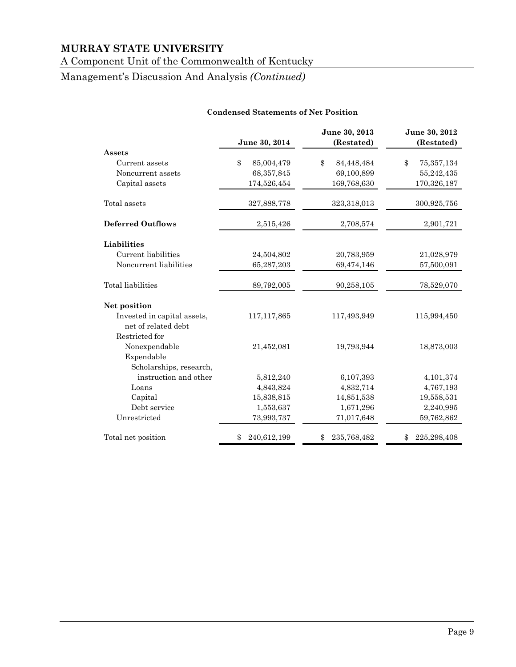## A Component Unit of the Commonwealth of Kentucky

# Management's Discussion And Analysis *(Continued)*

#### **Condensed Statements of Net Position**

|                                                        |                   | June 30, 2013    | June 30, 2012    |
|--------------------------------------------------------|-------------------|------------------|------------------|
|                                                        | June 30, 2014     | (Restated)       | (Restated)       |
| Assets                                                 |                   |                  |                  |
| Current assets                                         | \$<br>85,004,479  | \$<br>84,448,484 | \$<br>75,357,134 |
| Noncurrent assets                                      | 68,357,845        | 69,100,899       | 55,242,435       |
| Capital assets                                         | 174,526,454       | 169,768,630      | 170,326,187      |
| Total assets                                           | 327,888,778       | 323,318,013      | 300,925,756      |
| <b>Deferred Outflows</b>                               | 2,515,426         | 2,708,574        | 2,901,721        |
| Liabilities                                            |                   |                  |                  |
| Current liabilities                                    | 24,504,802        | 20,783,959       | 21,028,979       |
| Noncurrent liabilities                                 | 65,287,203        | 69,474,146       | 57,500,091       |
| Total liabilities                                      | 89,792,005        | 90,258,105       | 78,529,070       |
| Net position                                           |                   |                  |                  |
| Invested in capital assets,<br>net of related debt     | 117, 117, 865     | 117,493,949      | 115,994,450      |
| Restricted for                                         |                   |                  |                  |
| Nonexpendable<br>Expendable<br>Scholarships, research, | 21,452,081        | 19,793,944       | 18,873,003       |
| instruction and other                                  | 5,812,240         | 6,107,393        | 4,101,374        |
| Loans                                                  | 4,843,824         | 4,832,714        | 4,767,193        |
| Capital                                                | 15,838,815        | 14,851,538       | 19,558,531       |
| Debt service                                           | 1,553,637         | 1,671,296        | 2,240,995        |
| Unrestricted                                           | 73,993,737        | 71,017,648       | 59,762,862       |
| Total net position                                     | 240,612,199<br>\$ | 235,768,482      | 225,298,408      |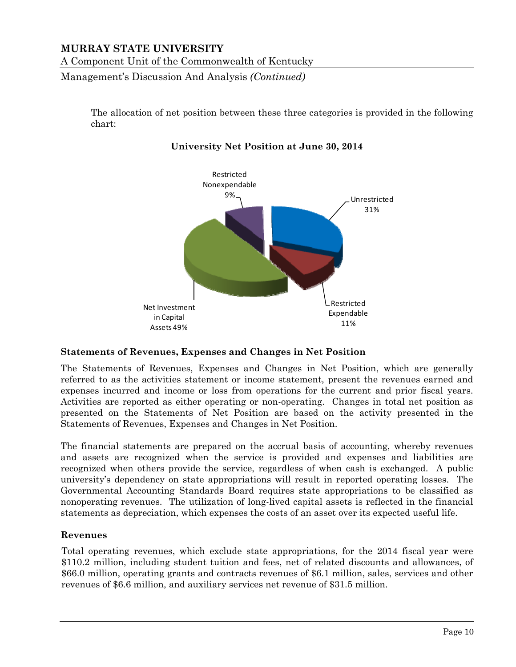Management's Discussion And Analysis *(Continued)*

The allocation of net position between these three categories is provided in the following chart:



## **University Net Position at June 30, 2014**

## **Statements of Revenues, Expenses and Changes in Net Position**

The Statements of Revenues, Expenses and Changes in Net Position, which are generally referred to as the activities statement or income statement, present the revenues earned and expenses incurred and income or loss from operations for the current and prior fiscal years. Activities are reported as either operating or non-operating. Changes in total net position as presented on the Statements of Net Position are based on the activity presented in the Statements of Revenues, Expenses and Changes in Net Position.

The financial statements are prepared on the accrual basis of accounting, whereby revenues and assets are recognized when the service is provided and expenses and liabilities are recognized when others provide the service, regardless of when cash is exchanged. A public university's dependency on state appropriations will result in reported operating losses. The Governmental Accounting Standards Board requires state appropriations to be classified as nonoperating revenues. The utilization of long-lived capital assets is reflected in the financial statements as depreciation, which expenses the costs of an asset over its expected useful life.

## **Revenues**

Total operating revenues, which exclude state appropriations, for the 2014 fiscal year were \$110.2 million, including student tuition and fees, net of related discounts and allowances, of \$66.0 million, operating grants and contracts revenues of \$6.1 million, sales, services and other revenues of \$6.6 million, and auxiliary services net revenue of \$31.5 million.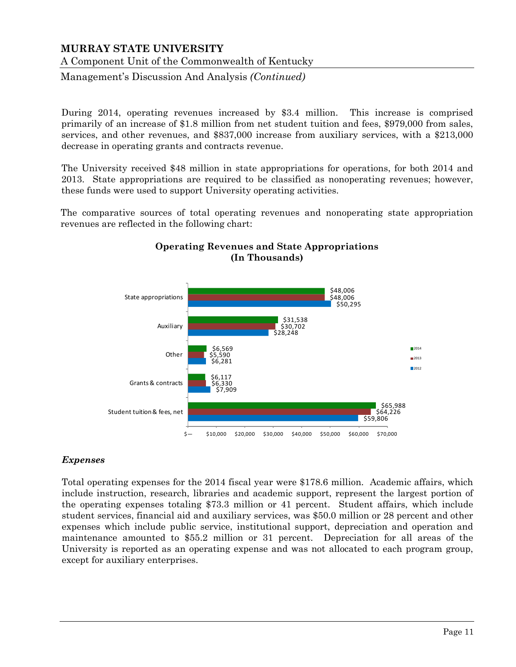A Component Unit of the Commonwealth of Kentucky

Management's Discussion And Analysis *(Continued)*

During 2014, operating revenues increased by \$3.4 million. This increase is comprised primarily of an increase of \$1.8 million from net student tuition and fees, \$979,000 from sales, services, and other revenues, and \$837,000 increase from auxiliary services, with a \$213,000 decrease in operating grants and contracts revenue.

The University received \$48 million in state appropriations for operations, for both 2014 and 2013. State appropriations are required to be classified as nonoperating revenues; however, these funds were used to support University operating activities.

The comparative sources of total operating revenues and nonoperating state appropriation revenues are reflected in the following chart:



## **Operating Revenues and State Appropriations (In Thousands)**

## *Expenses*

Total operating expenses for the 2014 fiscal year were \$178.6 million. Academic affairs, which include instruction, research, libraries and academic support, represent the largest portion of the operating expenses totaling \$73.3 million or 41 percent. Student affairs, which include student services, financial aid and auxiliary services, was \$50.0 million or 28 percent and other expenses which include public service, institutional support, depreciation and operation and maintenance amounted to \$55.2 million or 31 percent. Depreciation for all areas of the University is reported as an operating expense and was not allocated to each program group, except for auxiliary enterprises.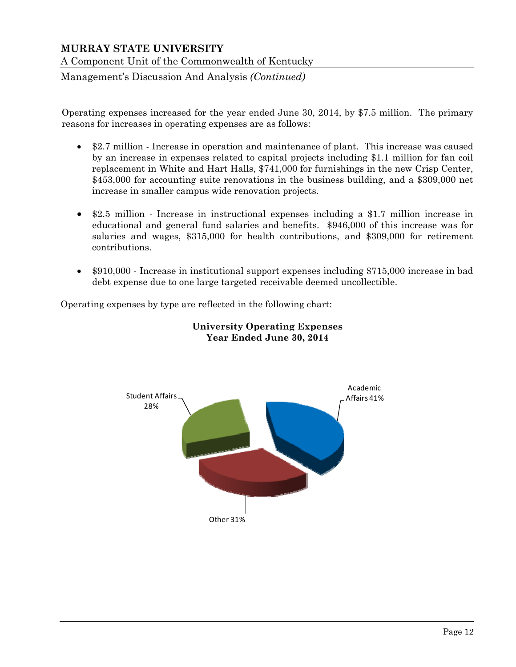Management's Discussion And Analysis *(Continued)*

Operating expenses increased for the year ended June 30, 2014, by \$7.5 million. The primary reasons for increases in operating expenses are as follows:

- \$2.7 million Increase in operation and maintenance of plant. This increase was caused by an increase in expenses related to capital projects including \$1.1 million for fan coil replacement in White and Hart Halls, \$741,000 for furnishings in the new Crisp Center, \$453,000 for accounting suite renovations in the business building, and a \$309,000 net increase in smaller campus wide renovation projects.
- \$2.5 million Increase in instructional expenses including a \$1.7 million increase in educational and general fund salaries and benefits. \$946,000 of this increase was for salaries and wages, \$315,000 for health contributions, and \$309,000 for retirement contributions.
- \$910,000 Increase in institutional support expenses including \$715,000 increase in bad debt expense due to one large targeted receivable deemed uncollectible.

Operating expenses by type are reflected in the following chart:



## **University Operating Expenses Year Ended June 30, 2014**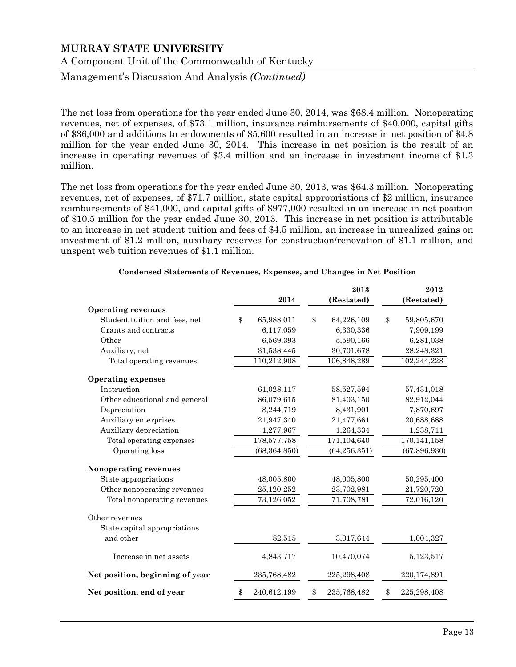A Component Unit of the Commonwealth of Kentucky

Management's Discussion And Analysis *(Continued)*

The net loss from operations for the year ended June 30, 2014, was \$68.4 million. Nonoperating revenues, net of expenses, of \$73.1 million, insurance reimbursements of \$40,000, capital gifts of \$36,000 and additions to endowments of \$5,600 resulted in an increase in net position of \$4.8 million for the year ended June 30, 2014. This increase in net position is the result of an increase in operating revenues of \$3.4 million and an increase in investment income of \$1.3 million.

The net loss from operations for the year ended June 30, 2013, was \$64.3 million. Nonoperating revenues, net of expenses, of \$71.7 million, state capital appropriations of \$2 million, insurance reimbursements of \$41,000, and capital gifts of \$977,000 resulted in an increase in net position of \$10.5 million for the year ended June 30, 2013. This increase in net position is attributable to an increase in net student tuition and fees of \$4.5 million, an increase in unrealized gains on investment of \$1.2 million, auxiliary reserves for construction/renovation of \$1.1 million, and unspent web tuition revenues of \$1.1 million.

|                                 | 2014             | 2013<br>(Restated) |               | 2012<br>(Restated) |
|---------------------------------|------------------|--------------------|---------------|--------------------|
| <b>Operating revenues</b>       |                  |                    |               |                    |
| Student tuition and fees, net   | \$<br>65,988,011 | \$<br>64,226,109   | $\mathbf{\$}$ | 59,805,670         |
| Grants and contracts            | 6,117,059        | 6,330,336          |               | 7,909,199          |
| Other                           | 6,569,393        | 5,590,166          |               | 6,281,038          |
| Auxiliary, net                  | 31,538,445       | 30,701,678         |               | 28,248,321         |
| Total operating revenues        | 110,212,908      | 106,848,289        |               | 102,244,228        |
| <b>Operating expenses</b>       |                  |                    |               |                    |
| Instruction                     | 61,028,117       | 58,527,594         |               | 57,431,018         |
| Other educational and general   | 86,079,615       | 81,403,150         |               | 82,912,044         |
| Depreciation                    | 8,244,719        | 8,431,901          |               | 7,870,697          |
| Auxiliary enterprises           | 21,947,340       | 21,477,661         |               | 20,688,688         |
| Auxiliary depreciation          | 1,277,967        | 1,264,334          |               | 1,238,711          |
| Total operating expenses        | 178,577,758      | 171,104,640        |               | 170, 141, 158      |
| Operating loss                  | (68, 364, 850)   | (64, 256, 351)     |               | (67, 896, 930)     |
| Nonoperating revenues           |                  |                    |               |                    |
| State appropriations            | 48,005,800       | 48,005,800         |               | 50,295,400         |
| Other nonoperating revenues     | 25,120,252       | 23,702,981         |               | 21,720,720         |
| Total nonoperating revenues     | 73,126,052       | 71,708,781         |               | 72,016,120         |
| Other revenues                  |                  |                    |               |                    |
| State capital appropriations    |                  |                    |               |                    |
| and other                       | 82,515           | 3,017,644          |               | 1,004,327          |
| Increase in net assets          | 4,843,717        | 10,470,074         |               | 5,123,517          |
| Net position, beginning of year | 235,768,482      | 225,298,408        |               | 220,174,891        |
| Net position, end of year       | 240,612,199      | 235,768,482        |               | 225,298,408        |

#### **Condensed Statements of Revenues, Expenses, and Changes in Net Position**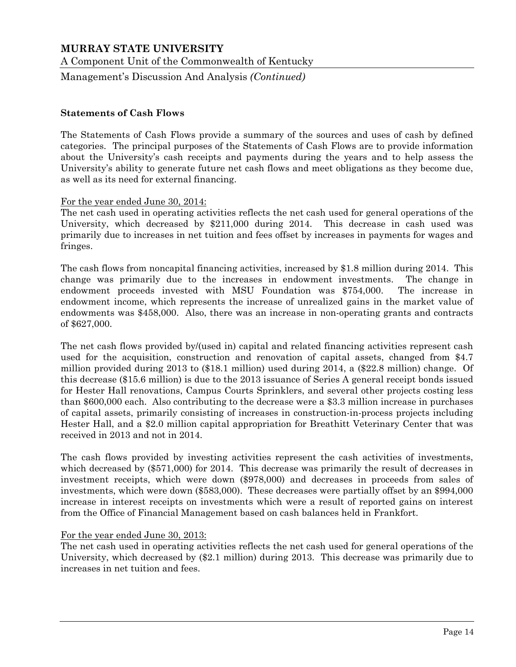A Component Unit of the Commonwealth of Kentucky

Management's Discussion And Analysis *(Continued)*

#### **Statements of Cash Flows**

The Statements of Cash Flows provide a summary of the sources and uses of cash by defined categories. The principal purposes of the Statements of Cash Flows are to provide information about the University's cash receipts and payments during the years and to help assess the University's ability to generate future net cash flows and meet obligations as they become due, as well as its need for external financing.

#### For the year ended June 30, 2014:

The net cash used in operating activities reflects the net cash used for general operations of the University, which decreased by \$211,000 during 2014. This decrease in cash used was primarily due to increases in net tuition and fees offset by increases in payments for wages and fringes.

The cash flows from noncapital financing activities, increased by \$1.8 million during 2014. This change was primarily due to the increases in endowment investments. The change in endowment proceeds invested with MSU Foundation was \$754,000. The increase in endowment income, which represents the increase of unrealized gains in the market value of endowments was \$458,000. Also, there was an increase in non-operating grants and contracts of \$627,000.

The net cash flows provided by/(used in) capital and related financing activities represent cash used for the acquisition, construction and renovation of capital assets, changed from \$4.7 million provided during 2013 to (\$18.1 million) used during 2014, a (\$22.8 million) change. Of this decrease (\$15.6 million) is due to the 2013 issuance of Series A general receipt bonds issued for Hester Hall renovations, Campus Courts Sprinklers, and several other projects costing less than \$600,000 each. Also contributing to the decrease were a \$3.3 million increase in purchases of capital assets, primarily consisting of increases in construction-in-process projects including Hester Hall, and a \$2.0 million capital appropriation for Breathitt Veterinary Center that was received in 2013 and not in 2014.

The cash flows provided by investing activities represent the cash activities of investments, which decreased by  $(\$571,000)$  for 2014. This decrease was primarily the result of decreases in investment receipts, which were down (\$978,000) and decreases in proceeds from sales of investments, which were down (\$583,000). These decreases were partially offset by an \$994,000 increase in interest receipts on investments which were a result of reported gains on interest from the Office of Financial Management based on cash balances held in Frankfort.

#### For the year ended June 30, 2013:

The net cash used in operating activities reflects the net cash used for general operations of the University, which decreased by (\$2.1 million) during 2013. This decrease was primarily due to increases in net tuition and fees.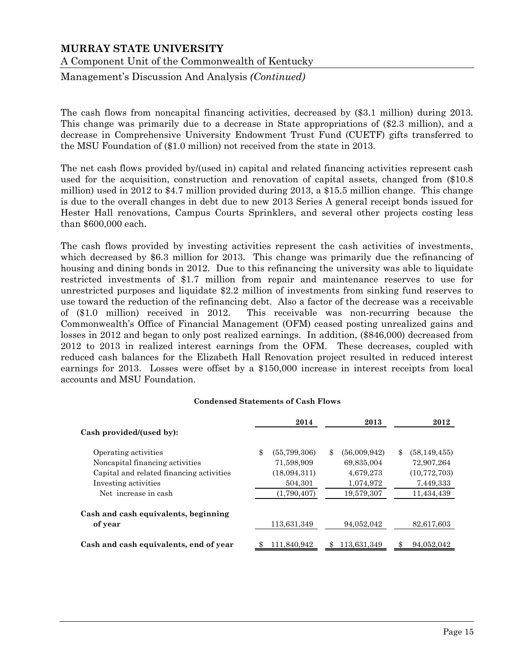Management's Discussion And Analysis *(Continued)*

The cash flows from noncapital financing activities, decreased by (\$3.1 million) during 2013. This change was primarily due to a decrease in State appropriations of (\$2.3 million), and a decrease in Comprehensive University Endowment Trust Fund (CUETF) gifts transferred to the MSU Foundation of (\$1.0 million) not received from the state in 2013.

The net cash flows provided by/(used in) capital and related financing activities represent cash used for the acquisition, construction and renovation of capital assets, changed from (\$10.8 million) used in 2012 to \$4.7 million provided during 2013, a \$15.5 million change. This change is due to the overall changes in debt due to new 2013 Series A general receipt bonds issued for Hester Hall renovations, Campus Courts Sprinklers, and several other projects costing less than \$600,000 each.

The cash flows provided by investing activities represent the cash activities of investments, which decreased by \$6.3 million for 2013. This change was primarily due the refinancing of housing and dining bonds in 2012. Due to this refinancing the university was able to liquidate restricted investments of \$1.7 million from repair and maintenance reserves to use for unrestricted purposes and liquidate \$2.2 million of investments from sinking fund reserves to use toward the reduction of the refinancing debt. Also a factor of the decrease was a receivable of (\$1.0 million) received in 2012. This receivable was non-recurring because the Commonwealth's Office of Financial Management (OFM) ceased posting unrealized gains and losses in 2012 and began to only post realized earnings. In addition, (\$846,000) decreased from 2012 to 2013 in realized interest earnings from the OFM. These decreases, coupled with reduced cash balances for the Elizabeth Hall Renovation project resulted in reduced interest earnings for 2013. Losses were offset by a \$150,000 increase in interest receipts from local accounts and MSU Foundation.

#### **Condensed Statements of Cash Flows**

| Cash provided/(used by):                                                    | 2014                       | 2013                    | 2012                         |
|-----------------------------------------------------------------------------|----------------------------|-------------------------|------------------------------|
| Operating activities                                                        | \$<br>(55.799.306)         | \$<br>(56.009.942)      | \$<br>(58, 149, 455)         |
| Noncapital financing activities<br>Capital and related financing activities | 71,598,909<br>(18,094,311) | 69,835,004<br>4,679,273 | 72,907,264<br>(10, 772, 703) |
| Investing activities<br>Net increase in cash                                | 504,301<br>(1,790,407)     | 1,074,972<br>19,579,307 | 7,449,333<br>11,434,439      |
| Cash and cash equivalents, beginning                                        |                            |                         |                              |
| of year                                                                     | 113,631,349                | 94,052,042              | 82,617,603                   |
| Cash and cash equivalents, end of year                                      | 111.840.942                | 113,631,349             | 94,052,042                   |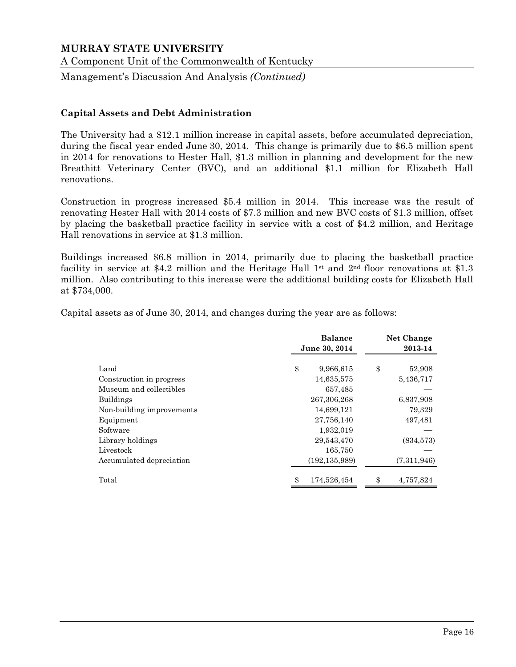A Component Unit of the Commonwealth of Kentucky

Management's Discussion And Analysis *(Continued)*

#### **Capital Assets and Debt Administration**

The University had a \$12.1 million increase in capital assets, before accumulated depreciation, during the fiscal year ended June 30, 2014. This change is primarily due to \$6.5 million spent in 2014 for renovations to Hester Hall, \$1.3 million in planning and development for the new Breathitt Veterinary Center (BVC), and an additional \$1.1 million for Elizabeth Hall renovations.

Construction in progress increased \$5.4 million in 2014. This increase was the result of renovating Hester Hall with 2014 costs of \$7.3 million and new BVC costs of \$1.3 million, offset by placing the basketball practice facility in service with a cost of \$4.2 million, and Heritage Hall renovations in service at \$1.3 million.

Buildings increased \$6.8 million in 2014, primarily due to placing the basketball practice facility in service at \$4.2 million and the Heritage Hall  $1^{st}$  and  $2^{nd}$  floor renovations at \$1.3 million. Also contributing to this increase were the additional building costs for Elizabeth Hall at \$734,000.

Capital assets as of June 30, 2014, and changes during the year are as follows:

|                           | <b>Balance</b>    | Net Change      |
|---------------------------|-------------------|-----------------|
|                           | June 30, 2014     | 2013-14         |
| Land                      | 9,966,615         |                 |
|                           | \$                | \$<br>52,908    |
| Construction in progress  | 14,635,575        | 5,436,717       |
| Museum and collectibles   | 657,485           |                 |
| <b>Buildings</b>          | 267,306,268       | 6,837,908       |
| Non-building improvements | 14,699,121        | 79,329          |
| Equipment                 | 27,756,140        | 497,481         |
| Software                  | 1,932,019         |                 |
| Library holdings          | 29,543,470        | (834,573)       |
| Livestock                 | 165,750           |                 |
| Accumulated depreciation  | (192, 135, 989)   | (7,311,946)     |
| Total                     | \$<br>174,526,454 | \$<br>4,757,824 |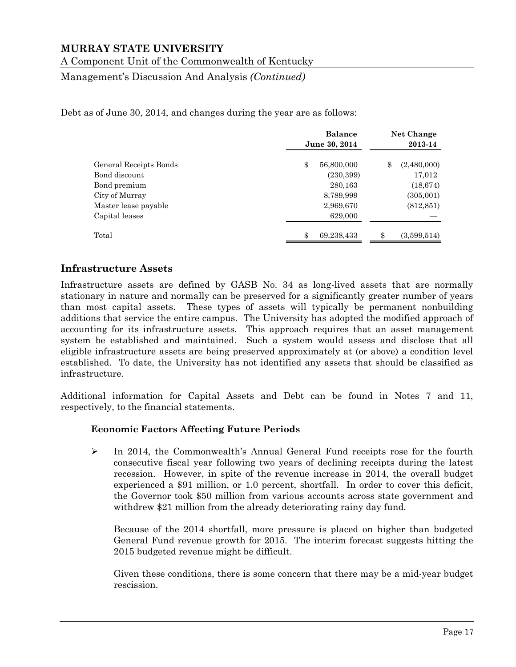#### A Component Unit of the Commonwealth of Kentucky

Management's Discussion And Analysis *(Continued)*

Debt as of June 30, 2014, and changes during the year are as follows:

|                        | <b>Balance</b><br>June 30, 2014 | Net Change<br>2013-14 |  |  |
|------------------------|---------------------------------|-----------------------|--|--|
| General Receipts Bonds | \$<br>56,800,000                | (2,480,000)<br>\$     |  |  |
| Bond discount          | (230, 399)                      | 17,012                |  |  |
| Bond premium           | 280,163                         | (18, 674)             |  |  |
| City of Murray         | 8,789,999                       | (305, 001)            |  |  |
| Master lease payable   | 2,969,670                       | (812, 851)            |  |  |
| Capital leases         | 629,000                         |                       |  |  |
| Total                  | 69,238,433<br>\$                | (3,599,514)<br>\$     |  |  |

## **Infrastructure Assets**

Infrastructure assets are defined by GASB No. 34 as long-lived assets that are normally stationary in nature and normally can be preserved for a significantly greater number of years than most capital assets. These types of assets will typically be permanent nonbuilding additions that service the entire campus. The University has adopted the modified approach of accounting for its infrastructure assets. This approach requires that an asset management system be established and maintained. Such a system would assess and disclose that all eligible infrastructure assets are being preserved approximately at (or above) a condition level established. To date, the University has not identified any assets that should be classified as infrastructure.

Additional information for Capital Assets and Debt can be found in Notes 7 and 11, respectively, to the financial statements.

#### **Economic Factors Affecting Future Periods**

 $\triangleright$  In 2014, the Commonwealth's Annual General Fund receipts rose for the fourth consecutive fiscal year following two years of declining receipts during the latest recession. However, in spite of the revenue increase in 2014, the overall budget experienced a \$91 million, or 1.0 percent, shortfall. In order to cover this deficit, the Governor took \$50 million from various accounts across state government and withdrew \$21 million from the already deteriorating rainy day fund.

Because of the 2014 shortfall, more pressure is placed on higher than budgeted General Fund revenue growth for 2015. The interim forecast suggests hitting the 2015 budgeted revenue might be difficult.

Given these conditions, there is some concern that there may be a mid-year budget rescission.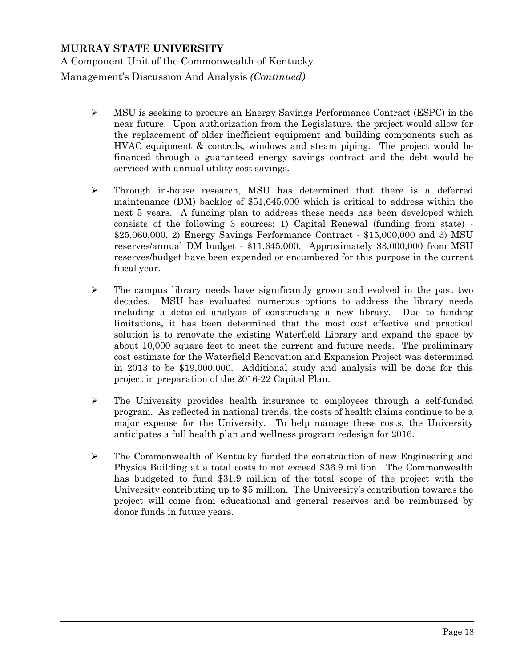Management's Discussion And Analysis *(Continued)*

- $\triangleright$  MSU is seeking to procure an Energy Savings Performance Contract (ESPC) in the near future. Upon authorization from the Legislature, the project would allow for the replacement of older inefficient equipment and building components such as HVAC equipment & controls, windows and steam piping. The project would be financed through a guaranteed energy savings contract and the debt would be serviced with annual utility cost savings.
- Through in-house research, MSU has determined that there is a deferred maintenance (DM) backlog of \$51,645,000 which is critical to address within the next 5 years. A funding plan to address these needs has been developed which consists of the following 3 sources; 1) Capital Renewal (funding from state) - \$25,060,000, 2) Energy Savings Performance Contract - \$15,000,000 and 3) MSU reserves/annual DM budget - \$11,645,000. Approximately \$3,000,000 from MSU reserves/budget have been expended or encumbered for this purpose in the current fiscal year.
- $\triangleright$  The campus library needs have significantly grown and evolved in the past two decades. MSU has evaluated numerous options to address the library needs including a detailed analysis of constructing a new library. Due to funding limitations, it has been determined that the most cost effective and practical solution is to renovate the existing Waterfield Library and expand the space by about 10,000 square feet to meet the current and future needs. The preliminary cost estimate for the Waterfield Renovation and Expansion Project was determined in 2013 to be \$19,000,000. Additional study and analysis will be done for this project in preparation of the 2016-22 Capital Plan.
- $\triangleright$  The University provides health insurance to employees through a self-funded program. As reflected in national trends, the costs of health claims continue to be a major expense for the University. To help manage these costs, the University anticipates a full health plan and wellness program redesign for 2016.
- $\triangleright$  The Commonwealth of Kentucky funded the construction of new Engineering and Physics Building at a total costs to not exceed \$36.9 million. The Commonwealth has budgeted to fund \$31.9 million of the total scope of the project with the University contributing up to \$5 million. The University's contribution towards the project will come from educational and general reserves and be reimbursed by donor funds in future years.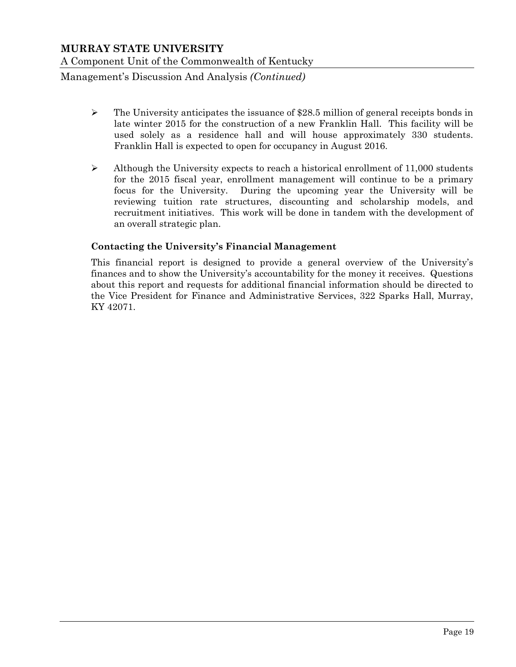Management's Discussion And Analysis *(Continued)*

- $\triangleright$  The University anticipates the issuance of \$28.5 million of general receipts bonds in late winter 2015 for the construction of a new Franklin Hall. This facility will be used solely as a residence hall and will house approximately 330 students. Franklin Hall is expected to open for occupancy in August 2016.
- $\triangleright$  Although the University expects to reach a historical enrollment of 11,000 students for the 2015 fiscal year, enrollment management will continue to be a primary focus for the University. During the upcoming year the University will be reviewing tuition rate structures, discounting and scholarship models, and recruitment initiatives. This work will be done in tandem with the development of an overall strategic plan.

## **Contacting the University's Financial Management**

This financial report is designed to provide a general overview of the University's finances and to show the University's accountability for the money it receives. Questions about this report and requests for additional financial information should be directed to the Vice President for Finance and Administrative Services, 322 Sparks Hall, Murray, KY 42071.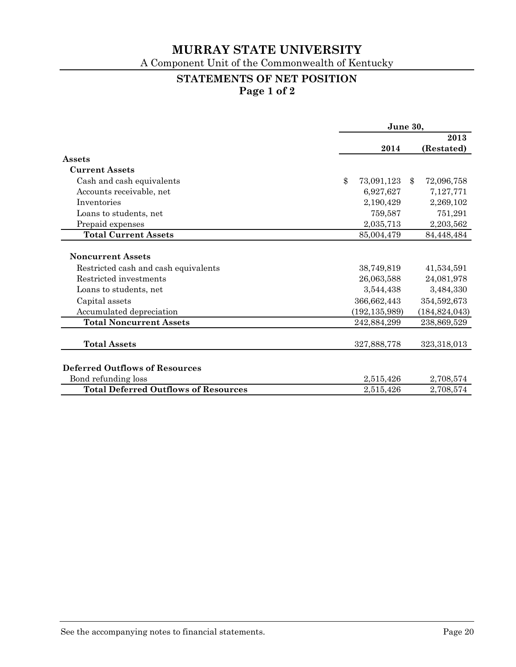A Component Unit of the Commonwealth of Kentucky

# **STATEMENTS OF NET POSITION**

**Page 1 of 2** 

|                                             | June 30,         |                  |
|---------------------------------------------|------------------|------------------|
|                                             |                  | 2013             |
|                                             | 2014             | (Restated)       |
| Assets                                      |                  |                  |
| <b>Current Assets</b>                       |                  |                  |
| Cash and cash equivalents                   | \$<br>73,091,123 | \$<br>72,096,758 |
| Accounts receivable, net                    | 6,927,627        | 7,127,771        |
| Inventories                                 | 2,190,429        | 2,269,102        |
| Loans to students, net                      | 759,587          | 751,291          |
| Prepaid expenses                            | 2,035,713        | 2,203,562        |
| <b>Total Current Assets</b>                 | 85,004,479       | 84,448,484       |
| <b>Noncurrent Assets</b>                    |                  |                  |
| Restricted cash and cash equivalents        | 38,749,819       | 41,534,591       |
| Restricted investments                      | 26,063,588       | 24,081,978       |
| Loans to students, net                      | 3,544,438        | 3,484,330        |
| Capital assets                              | 366,662,443      | 354,592,673      |
| Accumulated depreciation                    | (192, 135, 989)  | (184, 824, 043)  |
| <b>Total Noncurrent Assets</b>              | 242,884,299      | 238,869,529      |
| <b>Total Assets</b>                         | 327,888,778      | 323,318,013      |
| <b>Deferred Outflows of Resources</b>       |                  |                  |
| Bond refunding loss                         | 2,515,426        | 2,708,574        |
| <b>Total Deferred Outflows of Resources</b> | 2,515,426        | 2,708,574        |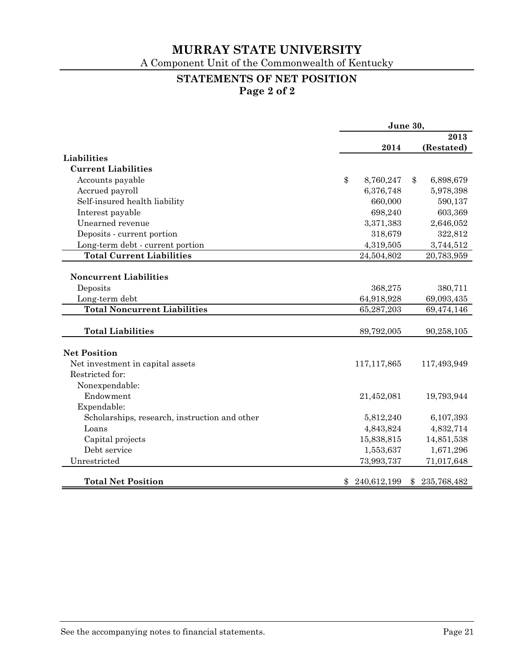A Component Unit of the Commonwealth of Kentucky

# **STATEMENTS OF NET POSITION**

**Page 2 of 2** 

|                                               | June 30, |               |    |             |
|-----------------------------------------------|----------|---------------|----|-------------|
|                                               |          |               |    | 2013        |
|                                               |          | 2014          |    | (Restated)  |
| Liabilities                                   |          |               |    |             |
| <b>Current Liabilities</b>                    |          |               |    |             |
| Accounts payable                              | \$       | 8,760,247     | \$ | 6,898,679   |
| Accrued payroll                               |          | 6,376,748     |    | 5,978,398   |
| Self-insured health liability                 |          | 660,000       |    | 590,137     |
| Interest payable                              |          | 698,240       |    | 603,369     |
| Unearned revenue                              |          | 3,371,383     |    | 2,646,052   |
| Deposits - current portion                    |          | 318,679       |    | 322,812     |
| Long-term debt - current portion              |          | 4,319,505     |    | 3,744,512   |
| <b>Total Current Liabilities</b>              |          | 24,504,802    |    | 20,783,959  |
|                                               |          |               |    |             |
| <b>Noncurrent Liabilities</b>                 |          |               |    |             |
| Deposits                                      |          | 368,275       |    | 380,711     |
| Long-term debt                                |          | 64,918,928    |    | 69,093,435  |
| <b>Total Noncurrent Liabilities</b>           |          | 65,287,203    |    | 69,474,146  |
|                                               |          |               |    |             |
| <b>Total Liabilities</b>                      |          | 89,792,005    |    | 90,258,105  |
| <b>Net Position</b>                           |          |               |    |             |
| Net investment in capital assets              |          | 117, 117, 865 |    | 117,493,949 |
| Restricted for:                               |          |               |    |             |
| Nonexpendable:                                |          |               |    |             |
| Endowment                                     |          | 21,452,081    |    | 19,793,944  |
| Expendable:                                   |          |               |    |             |
| Scholarships, research, instruction and other |          | 5,812,240     |    | 6,107,393   |
| Loans                                         |          | 4,843,824     |    | 4,832,714   |
| Capital projects                              |          | 15,838,815    |    | 14,851,538  |
| Debt service                                  |          | 1,553,637     |    | 1,671,296   |
| Unrestricted                                  |          | 73,993,737    |    | 71,017,648  |
|                                               |          |               |    |             |
| <b>Total Net Position</b>                     | \$       | 240,612,199   | \$ | 235,768,482 |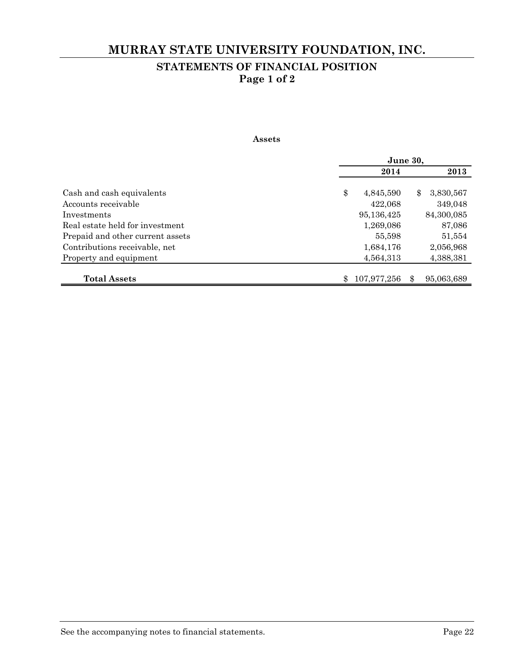# **MURRAY STATE UNIVERSITY FOUNDATION, INC.**

## **STATEMENTS OF FINANCIAL POSITION Page 1 of 2**

#### **Assets**

|                                  | June 30.          |                 |
|----------------------------------|-------------------|-----------------|
|                                  | 2014              | 2013            |
| Cash and cash equivalents        | \$<br>4,845,590   | \$<br>3,830,567 |
| Accounts receivable              | 422,068           | 349,048         |
| Investments                      | 95, 136, 425      | 84,300,085      |
| Real estate held for investment  | 1,269,086         | 87,086          |
| Prepaid and other current assets | 55,598            | 51,554          |
| Contributions receivable, net    | 1,684,176         | 2,056,968       |
| Property and equipment           | 4,564,313         | 4,388,381       |
| <b>Total Assets</b>              | \$<br>107,977,256 | 95,063,689      |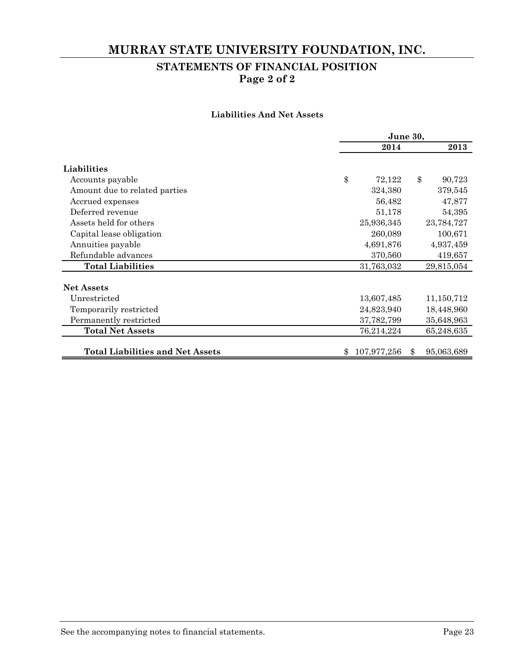# **MURRAY STATE UNIVERSITY FOUNDATION, INC.**

## **STATEMENTS OF FINANCIAL POSITION Page 2 of 2**

#### **Liabilities And Net Assets**

|                                         | June 30. |             |    |            |
|-----------------------------------------|----------|-------------|----|------------|
|                                         |          | 2014        |    | 2013       |
| Liabilities                             |          |             |    |            |
| Accounts payable                        | \$       | 72,122      | \$ | 90,723     |
| Amount due to related parties           |          | 324,380     |    | 379,545    |
| Accrued expenses                        |          | 56,482      |    | 47,877     |
| Deferred revenue                        |          | 51,178      |    | 54,395     |
| Assets held for others                  |          | 25,936,345  |    | 23,784,727 |
| Capital lease obligation                |          | 260,089     |    | 100,671    |
| Annuities payable                       |          | 4,691,876   |    | 4,937,459  |
| Refundable advances                     |          | 370,560     |    | 419,657    |
| <b>Total Liabilities</b>                |          | 31,763,032  |    | 29,815,054 |
| <b>Net Assets</b>                       |          |             |    |            |
| Unrestricted                            |          | 13,607,485  |    | 11,150,712 |
| Temporarily restricted                  |          | 24,823,940  |    | 18,448,960 |
| Permanently restricted                  |          | 37,782,799  |    | 35,648,963 |
| <b>Total Net Assets</b>                 |          | 76,214,224  |    | 65,248,635 |
| <b>Total Liabilities and Net Assets</b> |          | 107,977,256 | \$ | 95,063,689 |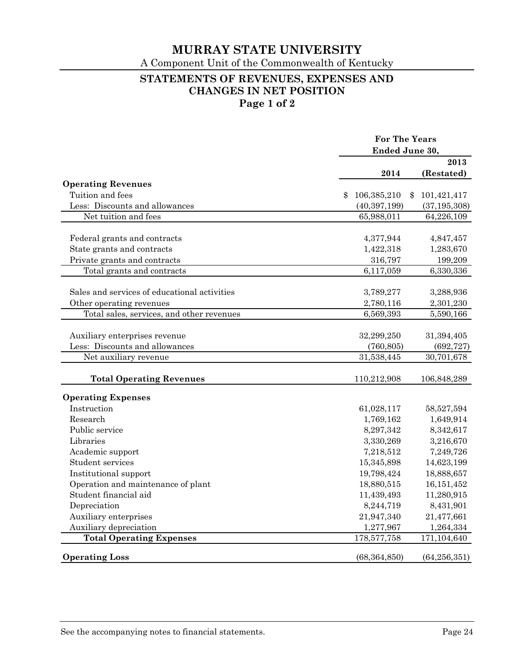A Component Unit of the Commonwealth of Kentucky

## **STATEMENTS OF REVENUES, EXPENSES AND CHANGES IN NET POSITION Page 1 of 2**

|                                              | <b>For The Years</b> |                   |  |
|----------------------------------------------|----------------------|-------------------|--|
|                                              | Ended June 30,       |                   |  |
|                                              |                      | 2013              |  |
|                                              | 2014                 | (Restated)        |  |
| <b>Operating Revenues</b>                    |                      |                   |  |
| Tuition and fees                             | 106,385,210<br>\$    | 101,421,417<br>\$ |  |
| Less: Discounts and allowances               | (40, 397, 199)       | (37, 195, 308)    |  |
| Net tuition and fees                         | 65,988,011           | 64,226,109        |  |
|                                              |                      |                   |  |
| Federal grants and contracts                 | 4,377,944            | 4,847,457         |  |
| State grants and contracts                   | 1,422,318            | 1,283,670         |  |
| Private grants and contracts                 | 316,797              | 199,209           |  |
| Total grants and contracts                   | 6,117,059            | 6,330,336         |  |
| Sales and services of educational activities | 3,789,277            | 3,288,936         |  |
| Other operating revenues                     | 2,780,116            | 2,301,230         |  |
| Total sales, services, and other revenues    | 6,569,393            | 5,590,166         |  |
|                                              |                      |                   |  |
| Auxiliary enterprises revenue                | 32,299,250           | 31,394,405        |  |
| Less: Discounts and allowances               | (760, 805)           | (692, 727)        |  |
| Net auxiliary revenue                        | 31,538,445           | 30,701,678        |  |
| <b>Total Operating Revenues</b>              | 110,212,908          | 106,848,289       |  |
| <b>Operating Expenses</b>                    |                      |                   |  |
| Instruction                                  | 61,028,117           | 58,527,594        |  |
| Research                                     | 1,769,162            | 1,649,914         |  |
| Public service                               | 8,297,342            | 8,342,617         |  |
| Libraries                                    | 3,330,269            | 3,216,670         |  |
| Academic support                             | 7,218,512            | 7,249,726         |  |
| Student services                             | 15,345,898           | 14,623,199        |  |
| Institutional support                        | 19,798,424           | 18,888,657        |  |
| Operation and maintenance of plant           | 18,880,515           | 16,151,452        |  |
| Student financial aid                        | 11,439,493           | 11,280,915        |  |
| Depreciation                                 | 8,244,719            | 8,431,901         |  |
| Auxiliary enterprises                        | 21,947,340           | 21,477,661        |  |
| Auxiliary depreciation                       | 1,277,967            | 1,264,334         |  |
| <b>Total Operating Expenses</b>              | 178,577,758          | 171,104,640       |  |
| <b>Operating Loss</b>                        | (68, 364, 850)       | (64, 256, 351)    |  |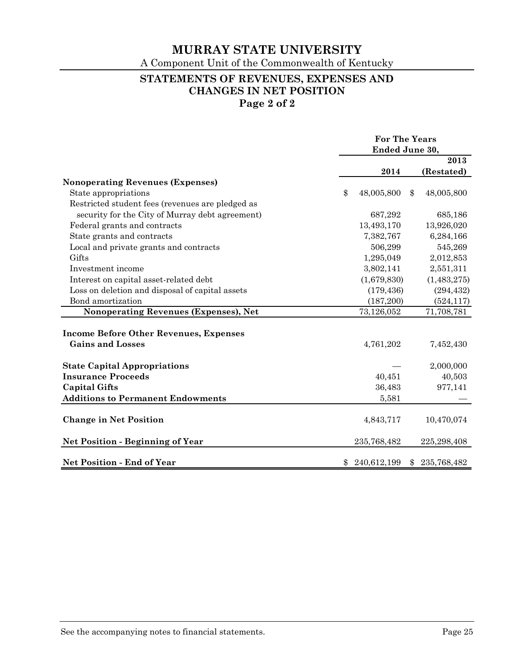A Component Unit of the Commonwealth of Kentucky

## **STATEMENTS OF REVENUES, EXPENSES AND CHANGES IN NET POSITION Page 2 of 2**

|                                                  | <b>For The Years</b><br>Ended June 30, |             |    |             |
|--------------------------------------------------|----------------------------------------|-------------|----|-------------|
|                                                  |                                        |             |    | 2013        |
|                                                  |                                        | 2014        |    | (Restated)  |
| <b>Nonoperating Revenues (Expenses)</b>          |                                        |             |    |             |
| State appropriations                             | \$                                     | 48,005,800  | \$ | 48,005,800  |
| Restricted student fees (revenues are pledged as |                                        |             |    |             |
| security for the City of Murray debt agreement)  |                                        | 687,292     |    | 685,186     |
| Federal grants and contracts                     |                                        | 13,493,170  |    | 13,926,020  |
| State grants and contracts                       |                                        | 7,382,767   |    | 6,284,166   |
| Local and private grants and contracts           |                                        | 506,299     |    | 545,269     |
| Gifts                                            |                                        | 1,295,049   |    | 2,012,853   |
| Investment income                                |                                        | 3,802,141   |    | 2,551,311   |
| Interest on capital asset-related debt           |                                        | (1,679,830) |    | (1,483,275) |
| Loss on deletion and disposal of capital assets  |                                        | (179, 436)  |    | (294, 432)  |
| Bond amortization                                |                                        | (187, 200)  |    | (524, 117)  |
| Nonoperating Revenues (Expenses), Net            |                                        | 73,126,052  |    | 71,708,781  |
| <b>Income Before Other Revenues, Expenses</b>    |                                        |             |    |             |
| <b>Gains and Losses</b>                          |                                        | 4,761,202   |    | 7,452,430   |
| <b>State Capital Appropriations</b>              |                                        |             |    | 2,000,000   |
| <b>Insurance Proceeds</b>                        |                                        | 40,451      |    | 40,503      |
| <b>Capital Gifts</b>                             |                                        | 36,483      |    | 977,141     |
| <b>Additions to Permanent Endowments</b>         |                                        | 5,581       |    |             |
| <b>Change in Net Position</b>                    |                                        | 4,843,717   |    | 10,470,074  |
| <b>Net Position - Beginning of Year</b>          |                                        | 235,768,482 |    | 225,298,408 |
| <b>Net Position - End of Year</b>                | \$                                     | 240,612,199 | \$ | 235,768,482 |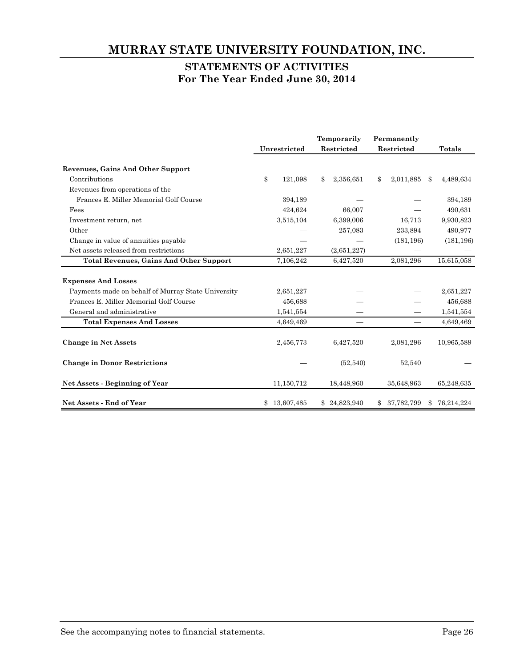# **MURRAY STATE UNIVERSITY FOUNDATION, INC.**

## **STATEMENTS OF ACTIVITIES For The Year Ended June 30, 2014**

|                                                    | Unrestricted  | <b>Temporarily</b><br>Restricted | Permanently<br>Restricted |               | <b>Totals</b> |
|----------------------------------------------------|---------------|----------------------------------|---------------------------|---------------|---------------|
|                                                    |               |                                  |                           |               |               |
| <b>Revenues, Gains And Other Support</b>           |               |                                  |                           |               |               |
| Contributions                                      | \$<br>121,098 | \$<br>2,356,651                  | \$<br>2,011,885           | $\mathbf{\$}$ | 4,489,634     |
| Revenues from operations of the                    |               |                                  |                           |               |               |
| Frances E. Miller Memorial Golf Course             | 394,189       |                                  |                           |               | 394,189       |
| Fees                                               | 424,624       | 66,007                           |                           |               | 490,631       |
| Investment return, net                             | 3,515,104     | 6,399,006                        | 16,713                    |               | 9,930,823     |
| Other                                              |               | 257,083                          | 233,894                   |               | 490,977       |
| Change in value of annuities payable               |               |                                  | (181, 196)                |               | (181, 196)    |
| Net assets released from restrictions              | 2,651,227     | (2,651,227)                      |                           |               |               |
| <b>Total Revenues, Gains And Other Support</b>     | 7,106,242     | 6,427,520                        | 2,081,296                 |               | 15,615,058    |
|                                                    |               |                                  |                           |               |               |
| <b>Expenses And Losses</b>                         |               |                                  |                           |               |               |
| Payments made on behalf of Murray State University | 2,651,227     |                                  |                           |               | 2,651,227     |
| Frances E. Miller Memorial Golf Course             | 456,688       |                                  |                           |               | 456,688       |
| General and administrative                         | 1,541,554     |                                  |                           |               | 1,541,554     |
| <b>Total Expenses And Losses</b>                   | 4,649,469     |                                  |                           |               | 4,649,469     |
|                                                    |               |                                  |                           |               |               |
| <b>Change in Net Assets</b>                        | 2,456,773     | 6,427,520                        | 2,081,296                 |               | 10,965,589    |
| <b>Change in Donor Restrictions</b>                |               | (52, 540)                        | 52,540                    |               |               |
| Net Assets - Beginning of Year                     | 11,150,712    | 18,448,960                       | 35,648,963                |               | 65,248,635    |
| <b>Net Assets - End of Year</b>                    | \$13,607.485  | \$24,823,940                     | \$ 37,782,799             |               | \$76,214,224  |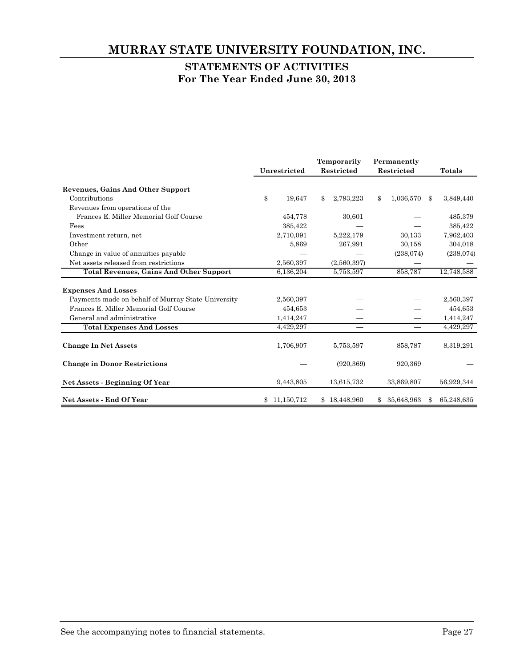# **MURRAY STATE UNIVERSITY FOUNDATION, INC.**

## **STATEMENTS OF ACTIVITIES For The Year Ended June 30, 2013**

|                                                    | Unrestricted     |     | Temporarily<br>Restricted | Permanently<br>Restricted | <b>Totals</b>    |
|----------------------------------------------------|------------------|-----|---------------------------|---------------------------|------------------|
| <b>Revenues, Gains And Other Support</b>           |                  |     |                           |                           |                  |
| Contributions                                      | \$<br>19,647     | \$. | 2,793,223                 | \$<br>1,036,570           | \$<br>3,849,440  |
| Revenues from operations of the                    |                  |     |                           |                           |                  |
| Frances E. Miller Memorial Golf Course             | 454,778          |     | 30,601                    |                           | 485,379          |
| Fees                                               | 385,422          |     |                           |                           | 385,422          |
| Investment return, net                             | 2,710,091        |     | 5,222,179                 | 30,133                    | 7,962,403        |
| Other                                              | 5.869            |     | 267,991                   | 30,158                    | 304,018          |
| Change in value of annuities payable               |                  |     |                           | (238, 074)                | (238, 074)       |
| Net assets released from restrictions              | 2,560,397        |     | (2,560,397)               |                           |                  |
| <b>Total Revenues, Gains And Other Support</b>     | 6,136,204        |     | 5,753,597                 | 858,787                   | 12,748,588       |
| <b>Expenses And Losses</b>                         |                  |     |                           |                           |                  |
| Payments made on behalf of Murray State University | 2,560,397        |     |                           |                           | 2,560,397        |
| Frances E. Miller Memorial Golf Course             | 454,653          |     |                           |                           | 454,653          |
| General and administrative                         | 1,414,247        |     |                           |                           | 1,414,247        |
| <b>Total Expenses And Losses</b>                   | 4,429,297        |     |                           | $\overline{\phantom{0}}$  | 4,429,297        |
| <b>Change In Net Assets</b>                        | 1,706,907        |     | 5,753,597                 | 858,787                   | 8,319,291        |
| <b>Change in Donor Restrictions</b>                |                  |     | (920, 369)                | 920,369                   |                  |
| Net Assets - Beginning Of Year                     | 9,443,805        |     | 13,615,732                | 33,869,807                | 56,929,344       |
| Net Assets - End Of Year                           | \$<br>11,150,712 |     | \$18,448,960              | 35,648,963                | \$<br>65,248,635 |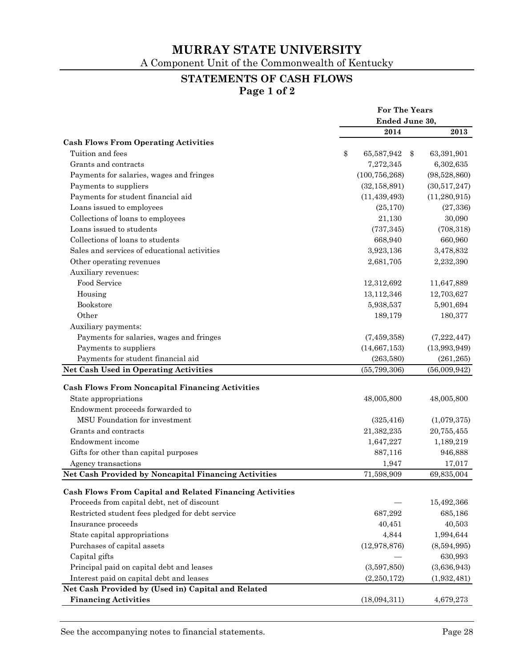A Component Unit of the Commonwealth of Kentucky

# **STATEMENTS OF CASH FLOWS**

**Page 1 of 2** 

|                                                          | <b>For The Years</b> |                  |                |
|----------------------------------------------------------|----------------------|------------------|----------------|
|                                                          |                      | Ended June 30,   |                |
|                                                          |                      | 2014             | 2013           |
| <b>Cash Flows From Operating Activities</b>              |                      |                  |                |
| Tuition and fees                                         | \$                   | 65,587,942<br>\$ | 63,391,901     |
| Grants and contracts                                     |                      | 7,272,345        | 6,302,635      |
| Payments for salaries, wages and fringes                 |                      | (100, 756, 268)  | (98,528,860)   |
| Payments to suppliers                                    |                      | (32, 158, 891)   | (30,517,247)   |
| Payments for student financial aid                       |                      | (11, 439, 493)   | (11, 280, 915) |
| Loans issued to employees                                |                      | (25, 170)        | (27, 336)      |
| Collections of loans to employees                        |                      | 21,130           | 30,090         |
| Loans issued to students                                 |                      | (737, 345)       | (708, 318)     |
| Collections of loans to students                         |                      | 668,940          | 660,960        |
| Sales and services of educational activities             |                      | 3,923,136        | 3,478,832      |
| Other operating revenues                                 |                      | 2,681,705        | 2,232,390      |
| Auxiliary revenues:                                      |                      |                  |                |
| Food Service                                             |                      | 12,312,692       | 11,647,889     |
| Housing                                                  |                      | 13,112,346       | 12,703,627     |
| Bookstore                                                |                      | 5,938,537        | 5,901,694      |
| Other                                                    |                      | 189,179          | 180,377        |
| Auxiliary payments:                                      |                      |                  |                |
| Payments for salaries, wages and fringes                 |                      | (7,459,358)      | (7,222,447)    |
| Payments to suppliers                                    |                      | (14, 667, 153)   | (13,993,949)   |
| Payments for student financial aid                       |                      | (263, 580)       | (261, 265)     |
| Net Cash Used in Operating Activities                    |                      | (55, 799, 306)   | (56,009,942)   |
|                                                          |                      |                  |                |
| <b>Cash Flows From Noncapital Financing Activities</b>   |                      |                  |                |
| State appropriations                                     |                      | 48,005,800       | 48,005,800     |
| Endowment proceeds forwarded to                          |                      |                  |                |
| MSU Foundation for investment                            |                      | (325, 416)       | (1,079,375)    |
| Grants and contracts                                     |                      | 21,382,235       | 20,755,455     |
| Endowment income                                         |                      | 1,647,227        | 1,189,219      |
| Gifts for other than capital purposes                    |                      | 887,116          | 946,888        |
| Agency transactions                                      |                      | 1,947            | 17,017         |
| Net Cash Provided by Noncapital Financing Activities     |                      | 71,598,909       | 69,835,004     |
| Cash Flows From Capital and Related Financing Activities |                      |                  |                |
| Proceeds from capital debt, net of discount              |                      |                  | 15,492,366     |
| Restricted student fees pledged for debt service         |                      | 687,292          | 685,186        |
| Insurance proceeds                                       |                      | 40,451           | 40,503         |
| State capital appropriations                             |                      | 4,844            | 1,994,644      |
| Purchases of capital assets                              |                      | (12, 978, 876)   | (8,594,995)    |
| Capital gifts                                            |                      |                  | 630,993        |
| Principal paid on capital debt and leases                |                      | (3,597,850)      | (3,636,943)    |
| Interest paid on capital debt and leases                 |                      | (2, 250, 172)    | (1,932,481)    |
| Net Cash Provided by (Used in) Capital and Related       |                      |                  |                |
| <b>Financing Activities</b>                              |                      | (18,094,311)     | 4,679,273      |
|                                                          |                      |                  |                |

See the accompanying notes to financial statements. Page 28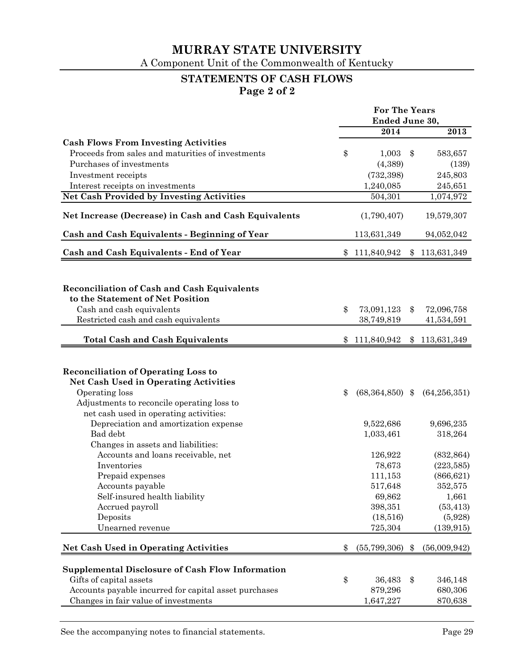A Component Unit of the Commonwealth of Kentucky

# **STATEMENTS OF CASH FLOWS**

**Page 2 of 2**

|                                                         | <b>For The Years</b> |                     |    |                |
|---------------------------------------------------------|----------------------|---------------------|----|----------------|
|                                                         | Ended June 30,       |                     |    |                |
|                                                         |                      | 2014                |    | 2013           |
| <b>Cash Flows From Investing Activities</b>             |                      |                     |    |                |
| Proceeds from sales and maturities of investments       | $\$\$                | 1,003               | \$ | 583,657        |
| Purchases of investments                                |                      | (4,389)             |    | (139)          |
| Investment receipts                                     |                      | (732, 398)          |    | 245,803        |
| Interest receipts on investments                        |                      | 1,240,085           |    | 245,651        |
| <b>Net Cash Provided by Investing Activities</b>        |                      | 504,301             |    | 1,074,972      |
| Net Increase (Decrease) in Cash and Cash Equivalents    |                      | (1,790,407)         |    | 19,579,307     |
| Cash and Cash Equivalents - Beginning of Year           |                      | 113,631,349         |    | 94,052,042     |
| Cash and Cash Equivalents - End of Year                 | \$                   | 111,840,942         |    | \$113,631,349  |
|                                                         |                      |                     |    |                |
| <b>Reconciliation of Cash and Cash Equivalents</b>      |                      |                     |    |                |
| to the Statement of Net Position                        |                      |                     |    |                |
| Cash and cash equivalents                               | \$                   | 73,091,123          | \$ | 72,096,758     |
| Restricted cash and cash equivalents                    |                      | 38,749,819          |    | 41,534,591     |
| <b>Total Cash and Cash Equivalents</b>                  | \$                   | 111,840,942         | \$ | 113,631,349    |
|                                                         |                      |                     |    |                |
| <b>Reconciliation of Operating Loss to</b>              |                      |                     |    |                |
| <b>Net Cash Used in Operating Activities</b>            |                      |                     |    |                |
| Operating loss                                          | \$                   | $(68, 364, 850)$ \$ |    | (64, 256, 351) |
| Adjustments to reconcile operating loss to              |                      |                     |    |                |
| net cash used in operating activities:                  |                      |                     |    |                |
| Depreciation and amortization expense<br>Bad debt       |                      | 9,522,686           |    | 9,696,235      |
|                                                         |                      | 1,033,461           |    | 318,264        |
| Changes in assets and liabilities:                      |                      |                     |    |                |
| Accounts and loans receivable, net                      |                      | 126,922             |    | (832, 864)     |
| Inventories                                             |                      | 78,673              |    | (223, 585)     |
| Prepaid expenses                                        |                      | 111,153             |    | (866, 621)     |
| Accounts payable                                        |                      | 517,648             |    | 352,575        |
| Self-insured health liability                           |                      | 69,862              |    | 1,661          |
| Accrued payroll                                         |                      | 398,351             |    | (53, 413)      |
| Deposits                                                |                      | (18,516)            |    | (5,928)        |
| Unearned revenue                                        |                      | 725,304             |    | (139, 915)     |
| <b>Net Cash Used in Operating Activities</b>            | \$                   | (55,799,306)        | \$ | (56,009,942)   |
| <b>Supplemental Disclosure of Cash Flow Information</b> |                      |                     |    |                |
| Gifts of capital assets                                 | \$                   | 36,483              | \$ | 346,148        |
| Accounts payable incurred for capital asset purchases   |                      | 879,296             |    | 680,306        |
| Changes in fair value of investments                    |                      | 1,647,227           |    | 870,638        |
|                                                         |                      |                     |    |                |

See the accompanying notes to financial statements. Page 29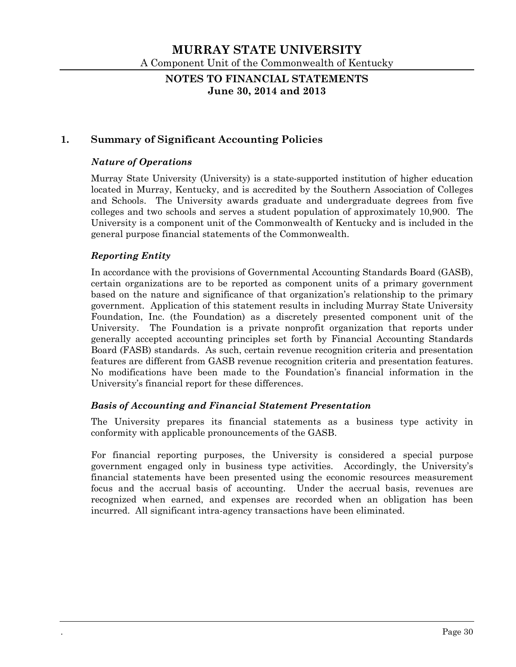## **NOTES TO FINANCIAL STATEMENTS June 30, 2014 and 2013**

## **1. Summary of Significant Accounting Policies**

#### *Nature of Operations*

Murray State University (University) is a state-supported institution of higher education located in Murray, Kentucky, and is accredited by the Southern Association of Colleges and Schools. The University awards graduate and undergraduate degrees from five colleges and two schools and serves a student population of approximately 10,900. The University is a component unit of the Commonwealth of Kentucky and is included in the general purpose financial statements of the Commonwealth.

#### *Reporting Entity*

In accordance with the provisions of Governmental Accounting Standards Board (GASB), certain organizations are to be reported as component units of a primary government based on the nature and significance of that organization's relationship to the primary government. Application of this statement results in including Murray State University Foundation, Inc. (the Foundation) as a discretely presented component unit of the University. The Foundation is a private nonprofit organization that reports under generally accepted accounting principles set forth by Financial Accounting Standards Board (FASB) standards. As such, certain revenue recognition criteria and presentation features are different from GASB revenue recognition criteria and presentation features. No modifications have been made to the Foundation's financial information in the University's financial report for these differences.

#### *Basis of Accounting and Financial Statement Presentation*

The University prepares its financial statements as a business type activity in conformity with applicable pronouncements of the GASB.

For financial reporting purposes, the University is considered a special purpose government engaged only in business type activities. Accordingly, the University's financial statements have been presented using the economic resources measurement focus and the accrual basis of accounting. Under the accrual basis, revenues are recognized when earned, and expenses are recorded when an obligation has been incurred. All significant intra-agency transactions have been eliminated.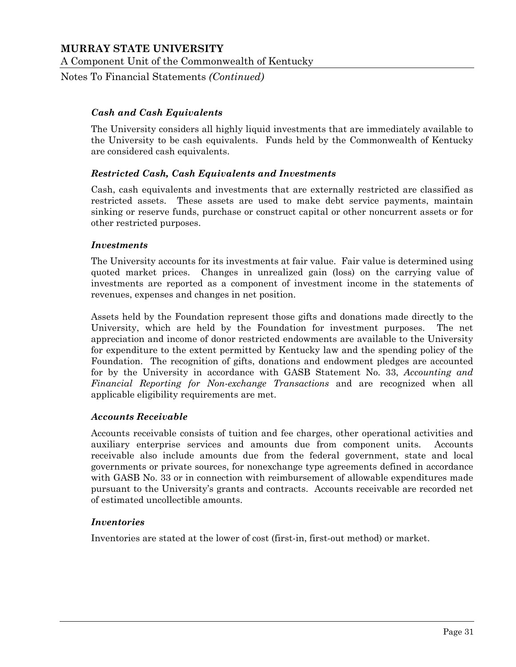Notes To Financial Statements *(Continued)*

#### *Cash and Cash Equivalents*

The University considers all highly liquid investments that are immediately available to the University to be cash equivalents. Funds held by the Commonwealth of Kentucky are considered cash equivalents.

#### *Restricted Cash, Cash Equivalents and Investments*

Cash, cash equivalents and investments that are externally restricted are classified as restricted assets. These assets are used to make debt service payments, maintain sinking or reserve funds, purchase or construct capital or other noncurrent assets or for other restricted purposes.

#### *Investments*

The University accounts for its investments at fair value. Fair value is determined using quoted market prices. Changes in unrealized gain (loss) on the carrying value of investments are reported as a component of investment income in the statements of revenues, expenses and changes in net position.

Assets held by the Foundation represent those gifts and donations made directly to the University, which are held by the Foundation for investment purposes. The net appreciation and income of donor restricted endowments are available to the University for expenditure to the extent permitted by Kentucky law and the spending policy of the Foundation. The recognition of gifts, donations and endowment pledges are accounted for by the University in accordance with GASB Statement No. 33, *Accounting and Financial Reporting for Non-exchange Transactions* and are recognized when all applicable eligibility requirements are met.

#### *Accounts Receivable*

Accounts receivable consists of tuition and fee charges, other operational activities and auxiliary enterprise services and amounts due from component units. Accounts receivable also include amounts due from the federal government, state and local governments or private sources, for nonexchange type agreements defined in accordance with GASB No. 33 or in connection with reimbursement of allowable expenditures made pursuant to the University's grants and contracts. Accounts receivable are recorded net of estimated uncollectible amounts.

#### *Inventories*

Inventories are stated at the lower of cost (first-in, first-out method) or market.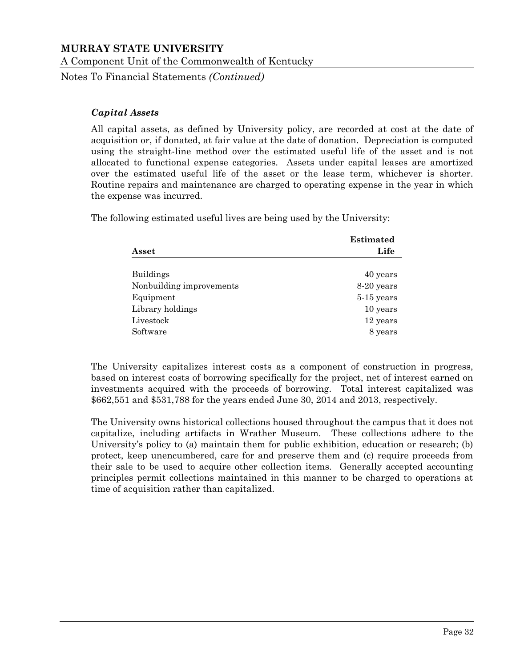Notes To Financial Statements *(Continued)*

## *Capital Assets*

All capital assets, as defined by University policy, are recorded at cost at the date of acquisition or, if donated, at fair value at the date of donation. Depreciation is computed using the straight-line method over the estimated useful life of the asset and is not allocated to functional expense categories. Assets under capital leases are amortized over the estimated useful life of the asset or the lease term, whichever is shorter. Routine repairs and maintenance are charged to operating expense in the year in which the expense was incurred.

The following estimated useful lives are being used by the University:

|                          | <b>Estimated</b> |
|--------------------------|------------------|
| Asset                    | Life             |
| <b>Buildings</b>         | 40 years         |
| Nonbuilding improvements | 8-20 years       |
| Equipment                | $5-15$ years     |
| Library holdings         | 10 years         |
| Livestock                | 12 years         |
| Software                 | 8 years          |

The University capitalizes interest costs as a component of construction in progress, based on interest costs of borrowing specifically for the project, net of interest earned on investments acquired with the proceeds of borrowing. Total interest capitalized was \$662,551 and \$531,788 for the years ended June 30, 2014 and 2013, respectively.

The University owns historical collections housed throughout the campus that it does not capitalize, including artifacts in Wrather Museum. These collections adhere to the University's policy to (a) maintain them for public exhibition, education or research; (b) protect, keep unencumbered, care for and preserve them and (c) require proceeds from their sale to be used to acquire other collection items. Generally accepted accounting principles permit collections maintained in this manner to be charged to operations at time of acquisition rather than capitalized.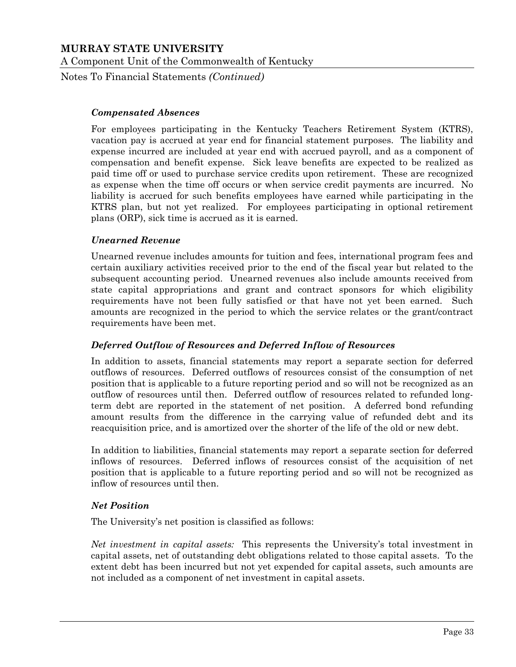Notes To Financial Statements *(Continued)*

#### *Compensated Absences*

For employees participating in the Kentucky Teachers Retirement System (KTRS), vacation pay is accrued at year end for financial statement purposes. The liability and expense incurred are included at year end with accrued payroll, and as a component of compensation and benefit expense. Sick leave benefits are expected to be realized as paid time off or used to purchase service credits upon retirement. These are recognized as expense when the time off occurs or when service credit payments are incurred. No liability is accrued for such benefits employees have earned while participating in the KTRS plan, but not yet realized. For employees participating in optional retirement plans (ORP), sick time is accrued as it is earned.

#### *Unearned Revenue*

Unearned revenue includes amounts for tuition and fees, international program fees and certain auxiliary activities received prior to the end of the fiscal year but related to the subsequent accounting period. Unearned revenues also include amounts received from state capital appropriations and grant and contract sponsors for which eligibility requirements have not been fully satisfied or that have not yet been earned. Such amounts are recognized in the period to which the service relates or the grant/contract requirements have been met.

#### *Deferred Outflow of Resources and Deferred Inflow of Resources*

In addition to assets, financial statements may report a separate section for deferred outflows of resources. Deferred outflows of resources consist of the consumption of net position that is applicable to a future reporting period and so will not be recognized as an outflow of resources until then. Deferred outflow of resources related to refunded longterm debt are reported in the statement of net position. A deferred bond refunding amount results from the difference in the carrying value of refunded debt and its reacquisition price, and is amortized over the shorter of the life of the old or new debt.

In addition to liabilities, financial statements may report a separate section for deferred inflows of resources. Deferred inflows of resources consist of the acquisition of net position that is applicable to a future reporting period and so will not be recognized as inflow of resources until then.

#### *Net Position*

The University's net position is classified as follows:

*Net investment in capital assets:* This represents the University's total investment in capital assets, net of outstanding debt obligations related to those capital assets. To the extent debt has been incurred but not yet expended for capital assets, such amounts are not included as a component of net investment in capital assets.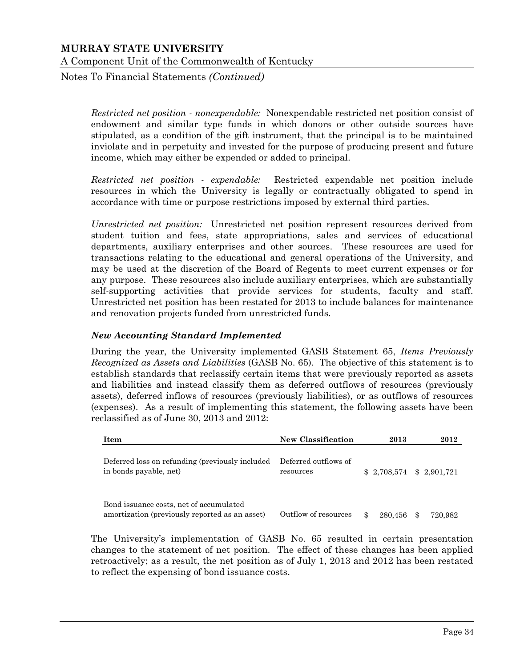Notes To Financial Statements *(Continued)*

*Restricted net position - nonexpendable:* Nonexpendable restricted net position consist of endowment and similar type funds in which donors or other outside sources have stipulated, as a condition of the gift instrument, that the principal is to be maintained inviolate and in perpetuity and invested for the purpose of producing present and future income, which may either be expended or added to principal.

*Restricted net position - expendable:* Restricted expendable net position include resources in which the University is legally or contractually obligated to spend in accordance with time or purpose restrictions imposed by external third parties.

*Unrestricted net position:* Unrestricted net position represent resources derived from student tuition and fees, state appropriations, sales and services of educational departments, auxiliary enterprises and other sources. These resources are used for transactions relating to the educational and general operations of the University, and may be used at the discretion of the Board of Regents to meet current expenses or for any purpose. These resources also include auxiliary enterprises, which are substantially self-supporting activities that provide services for students, faculty and staff. Unrestricted net position has been restated for 2013 to include balances for maintenance and renovation projects funded from unrestricted funds.

#### *New Accounting Standard Implemented*

During the year, the University implemented GASB Statement 65, *Items Previously Recognized as Assets and Liabilities* (GASB No. 65). The objective of this statement is to establish standards that reclassify certain items that were previously reported as assets and liabilities and instead classify them as deferred outflows of resources (previously assets), deferred inflows of resources (previously liabilities), or as outflows of resources (expenses). As a result of implementing this statement, the following assets have been reclassified as of June 30, 2013 and 2012:

| Item                                                                                      | <b>New Classification</b>         | 2013          | 2012                      |
|-------------------------------------------------------------------------------------------|-----------------------------------|---------------|---------------------------|
| Deferred loss on refunding (previously included<br>in bonds payable, net)                 | Deferred outflows of<br>resources |               | $$2,708,574$ $$2,901,721$ |
| Bond issuance costs, net of accumulated<br>amortization (previously reported as an asset) | Outflow of resources              | \$<br>280.456 | 720.982<br>\$             |

The University's implementation of GASB No. 65 resulted in certain presentation changes to the statement of net position. The effect of these changes has been applied retroactively; as a result, the net position as of July 1, 2013 and 2012 has been restated to reflect the expensing of bond issuance costs.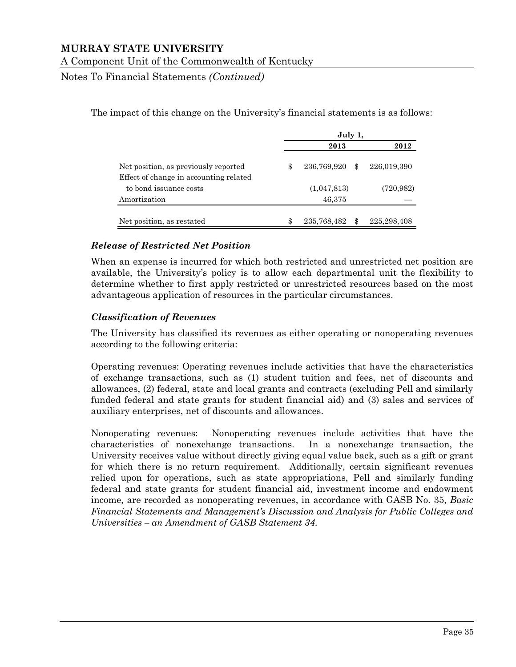A Component Unit of the Commonwealth of Kentucky

Notes To Financial Statements *(Continued)*

The impact of this change on the University's financial statements is as follows:

|                                                                                | July 1,                 |             |  |  |  |  |
|--------------------------------------------------------------------------------|-------------------------|-------------|--|--|--|--|
|                                                                                | 2013                    | 2012        |  |  |  |  |
| Net position, as previously reported<br>Effect of change in accounting related | \$<br>236,769,920 \$    | 226,019,390 |  |  |  |  |
| to bond issuance costs<br>Amortization                                         | (1,047,813)<br>46,375   | (720, 982)  |  |  |  |  |
| Net position, as restated                                                      | \$<br>235,768,482<br>\$ | 225,298,408 |  |  |  |  |

## *Release of Restricted Net Position*

When an expense is incurred for which both restricted and unrestricted net position are available, the University's policy is to allow each departmental unit the flexibility to determine whether to first apply restricted or unrestricted resources based on the most advantageous application of resources in the particular circumstances.

## *Classification of Revenues*

The University has classified its revenues as either operating or nonoperating revenues according to the following criteria:

Operating revenues: Operating revenues include activities that have the characteristics of exchange transactions, such as (1) student tuition and fees, net of discounts and allowances, (2) federal, state and local grants and contracts (excluding Pell and similarly funded federal and state grants for student financial aid) and (3) sales and services of auxiliary enterprises, net of discounts and allowances.

Nonoperating revenues: Nonoperating revenues include activities that have the characteristics of nonexchange transactions. In a nonexchange transaction, the University receives value without directly giving equal value back, such as a gift or grant for which there is no return requirement. Additionally, certain significant revenues relied upon for operations, such as state appropriations, Pell and similarly funding federal and state grants for student financial aid, investment income and endowment income, are recorded as nonoperating revenues, in accordance with GASB No. 35, *Basic Financial Statements and Management's Discussion and Analysis for Public Colleges and Universities – an Amendment of GASB Statement 34*.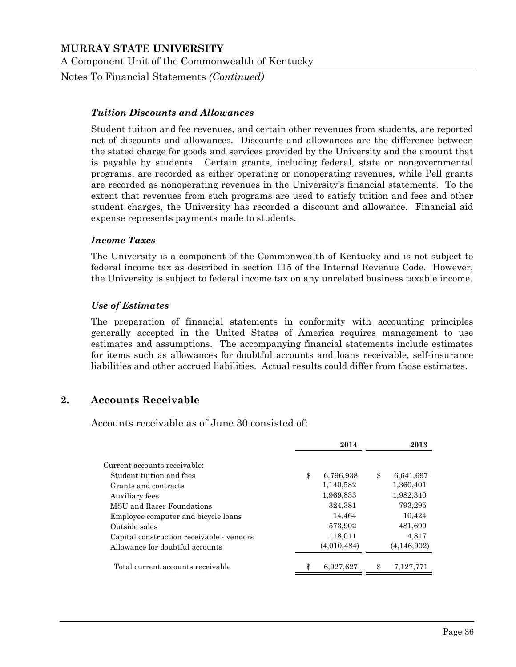Notes To Financial Statements *(Continued)*

#### *Tuition Discounts and Allowances*

Student tuition and fee revenues, and certain other revenues from students, are reported net of discounts and allowances. Discounts and allowances are the difference between the stated charge for goods and services provided by the University and the amount that is payable by students. Certain grants, including federal, state or nongovernmental programs, are recorded as either operating or nonoperating revenues, while Pell grants are recorded as nonoperating revenues in the University's financial statements. To the extent that revenues from such programs are used to satisfy tuition and fees and other student charges, the University has recorded a discount and allowance. Financial aid expense represents payments made to students.

#### *Income Taxes*

The University is a component of the Commonwealth of Kentucky and is not subject to federal income tax as described in section 115 of the Internal Revenue Code. However, the University is subject to federal income tax on any unrelated business taxable income.

#### *Use of Estimates*

The preparation of financial statements in conformity with accounting principles generally accepted in the United States of America requires management to use estimates and assumptions. The accompanying financial statements include estimates for items such as allowances for doubtful accounts and loans receivable, self-insurance liabilities and other accrued liabilities. Actual results could differ from those estimates.

## **2. Accounts Receivable**

Accounts receivable as of June 30 consisted of:

|                                           | 2014            | 2013            |
|-------------------------------------------|-----------------|-----------------|
| Current accounts receivable:              |                 |                 |
| Student tuition and fees                  | \$<br>6.796.938 | \$<br>6.641.697 |
| Grants and contracts                      | 1,140,582       | 1,360,401       |
| Auxiliary fees                            | 1,969,833       | 1,982,340       |
| MSU and Racer Foundations                 | 324,381         | 793,295         |
| Employee computer and bicycle loans       | 14,464          | 10,424          |
| Outside sales                             | 573,902         | 481,699         |
| Capital construction receivable - vendors | 118,011         | 4.817           |
| Allowance for doubtful accounts           | (4,010,484)     | (4, 146, 902)   |
| Total current accounts receivable         | \$<br>6,927,627 | \$<br>7,127,771 |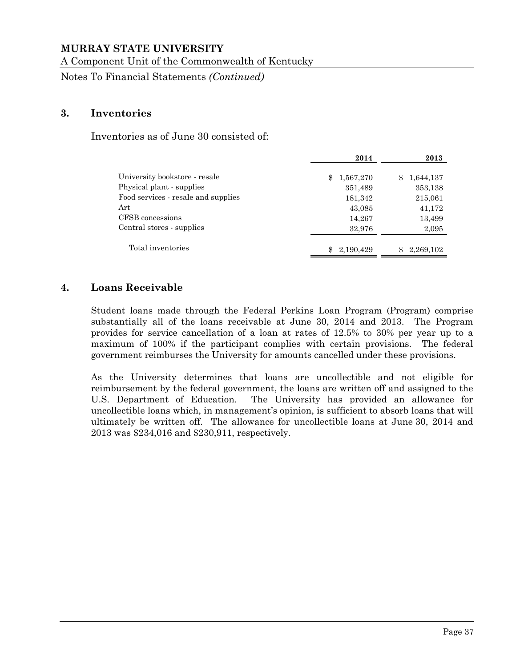A Component Unit of the Commonwealth of Kentucky

Notes To Financial Statements *(Continued)*

#### **3. Inventories**

Inventories as of June 30 consisted of:

|                                                            | 2014                       | 2013                       |
|------------------------------------------------------------|----------------------------|----------------------------|
| University bookstore - resale<br>Physical plant - supplies | 1,567,270<br>\$<br>351,489 | 1,644,137<br>\$<br>353,138 |
| Food services - resale and supplies<br>Art                 | 181,342<br>43,085          | 215,061<br>41,172          |
| CFSB concessions<br>Central stores - supplies              | 14,267<br>32.976           | 13,499<br>2,095            |
| Total inventories                                          | 2,190,429<br>\$            | \$<br>2,269,102            |

## **4. Loans Receivable**

Student loans made through the Federal Perkins Loan Program (Program) comprise substantially all of the loans receivable at June 30, 2014 and 2013. The Program provides for service cancellation of a loan at rates of 12.5% to 30% per year up to a maximum of 100% if the participant complies with certain provisions. The federal government reimburses the University for amounts cancelled under these provisions.

As the University determines that loans are uncollectible and not eligible for reimbursement by the federal government, the loans are written off and assigned to the U.S. Department of Education. The University has provided an allowance for uncollectible loans which, in management's opinion, is sufficient to absorb loans that will ultimately be written off. The allowance for uncollectible loans at June 30, 2014 and 2013 was \$234,016 and \$230,911, respectively.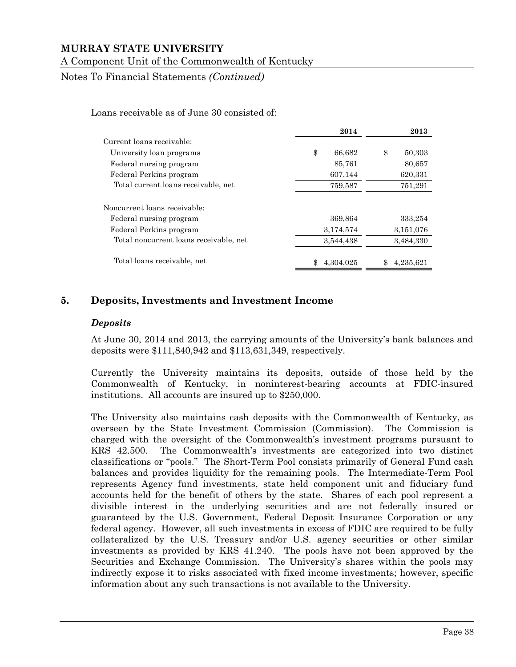#### A Component Unit of the Commonwealth of Kentucky

Notes To Financial Statements *(Continued)*

Loans receivable as of June 30 consisted of:

|                                        | 2014            | 2013            |
|----------------------------------------|-----------------|-----------------|
| Current loans receivable:              |                 |                 |
| University loan programs               | \$<br>66,682    | \$<br>50,303    |
| Federal nursing program                | 85,761          | 80,657          |
| Federal Perkins program                | 607,144         | 620,331         |
| Total current loans receivable, net    | 759,587         | 751,291         |
| Noncurrent loans receivable:           |                 |                 |
| Federal nursing program                | 369,864         | 333,254         |
| Federal Perkins program                | 3,174,574       | 3,151,076       |
| Total noncurrent loans receivable, net | 3,544,438       | 3,484,330       |
| Total loans receivable, net            | \$<br>4,304,025 | \$<br>4,235,621 |

## **5. Deposits, Investments and Investment Income**

#### *Deposits*

At June 30, 2014 and 2013, the carrying amounts of the University's bank balances and deposits were \$111,840,942 and \$113,631,349, respectively.

Currently the University maintains its deposits, outside of those held by the Commonwealth of Kentucky, in noninterest-bearing accounts at FDIC-insured institutions. All accounts are insured up to \$250,000.

The University also maintains cash deposits with the Commonwealth of Kentucky, as overseen by the State Investment Commission (Commission). The Commission is charged with the oversight of the Commonwealth's investment programs pursuant to KRS 42.500. The Commonwealth's investments are categorized into two distinct classifications or "pools." The Short-Term Pool consists primarily of General Fund cash balances and provides liquidity for the remaining pools. The Intermediate-Term Pool represents Agency fund investments, state held component unit and fiduciary fund accounts held for the benefit of others by the state. Shares of each pool represent a divisible interest in the underlying securities and are not federally insured or guaranteed by the U.S. Government, Federal Deposit Insurance Corporation or any federal agency. However, all such investments in excess of FDIC are required to be fully collateralized by the U.S. Treasury and/or U.S. agency securities or other similar investments as provided by KRS 41.240. The pools have not been approved by the Securities and Exchange Commission. The University's shares within the pools may indirectly expose it to risks associated with fixed income investments; however, specific information about any such transactions is not available to the University.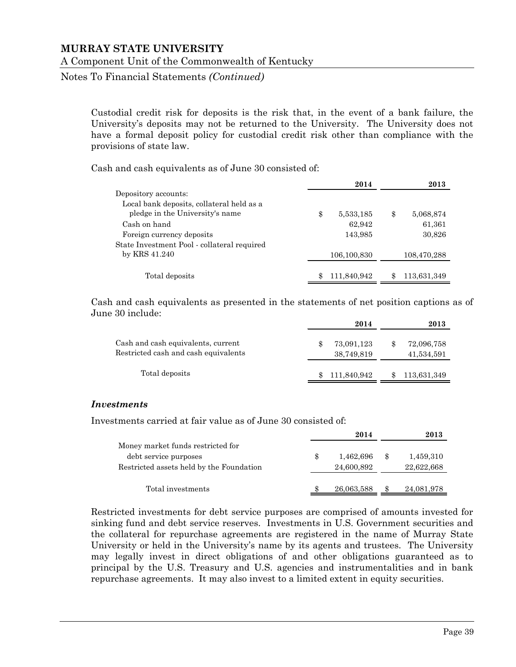Notes To Financial Statements *(Continued)*

Custodial credit risk for deposits is the risk that, in the event of a bank failure, the University's deposits may not be returned to the University. The University does not have a formal deposit policy for custodial credit risk other than compliance with the provisions of state law.

Cash and cash equivalents as of June 30 consisted of:

| 2014            | 2013              |
|-----------------|-------------------|
|                 |                   |
|                 |                   |
| \$<br>5,533,185 | \$<br>5,068,874   |
| 62,942          | 61,361            |
| 143,985         | 30,826            |
|                 |                   |
| 106,100,830     | 108,470,288       |
|                 |                   |
| 111,840,942     | 113,631,349<br>\$ |
|                 |                   |

Cash and cash equivalents as presented in the statements of net position captions as of June 30 include:

|                                                                            | 2014                     | 2013                     |
|----------------------------------------------------------------------------|--------------------------|--------------------------|
| Cash and cash equivalents, current<br>Restricted cash and cash equivalents | 73,091,123<br>38,749,819 | 72,096,758<br>41,534,591 |
| Total deposits                                                             | 111,840,942              | 113,631,349              |

#### *Investments*

Investments carried at fair value as of June 30 consisted of:

|                                          |     | 2014       |     | 2013       |
|------------------------------------------|-----|------------|-----|------------|
| Money market funds restricted for        |     |            |     |            |
| debt service purposes                    | \$. | 1,462,696  | -\$ | 1,459,310  |
| Restricted assets held by the Foundation |     | 24,600,892 |     | 22,622,668 |
|                                          |     |            |     |            |
| Total investments                        |     | 26,063,588 |     | 24,081,978 |

Restricted investments for debt service purposes are comprised of amounts invested for sinking fund and debt service reserves. Investments in U.S. Government securities and the collateral for repurchase agreements are registered in the name of Murray State University or held in the University's name by its agents and trustees. The University may legally invest in direct obligations of and other obligations guaranteed as to principal by the U.S. Treasury and U.S. agencies and instrumentalities and in bank repurchase agreements. It may also invest to a limited extent in equity securities.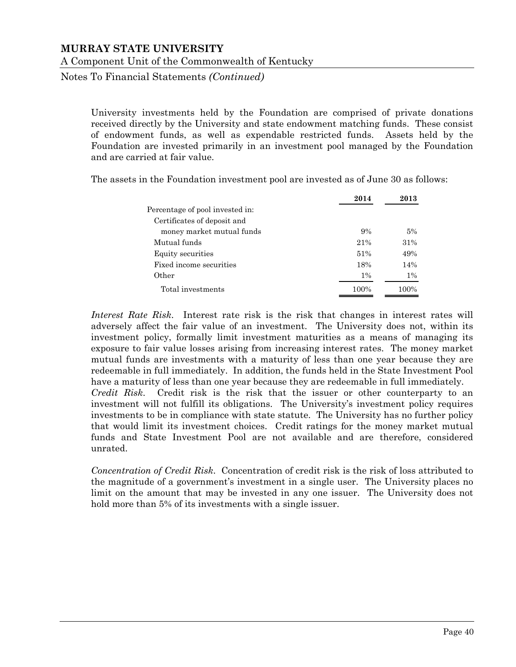Notes To Financial Statements *(Continued)*

University investments held by the Foundation are comprised of private donations received directly by the University and state endowment matching funds. These consist of endowment funds, as well as expendable restricted funds. Assets held by the Foundation are invested primarily in an investment pool managed by the Foundation and are carried at fair value.

The assets in the Foundation investment pool are invested as of June 30 as follows:

|                                 | 2014  | 2013  |
|---------------------------------|-------|-------|
| Percentage of pool invested in: |       |       |
| Certificates of deposit and     |       |       |
| money market mutual funds       | 9%    | 5%    |
| Mutual funds                    | 21%   | 31%   |
| Equity securities               | 51%   | 49%   |
| Fixed income securities         | 18%   | 14%   |
| Other                           | $1\%$ | $1\%$ |
| Total investments               | 100%  | 100%  |

*Interest Rate Risk*. Interest rate risk is the risk that changes in interest rates will adversely affect the fair value of an investment. The University does not, within its investment policy, formally limit investment maturities as a means of managing its exposure to fair value losses arising from increasing interest rates. The money market mutual funds are investments with a maturity of less than one year because they are redeemable in full immediately. In addition, the funds held in the State Investment Pool have a maturity of less than one year because they are redeemable in full immediately. *Credit Risk*. Credit risk is the risk that the issuer or other counterparty to an

investment will not fulfill its obligations. The University's investment policy requires investments to be in compliance with state statute. The University has no further policy that would limit its investment choices. Credit ratings for the money market mutual funds and State Investment Pool are not available and are therefore, considered unrated.

*Concentration of Credit Risk*. Concentration of credit risk is the risk of loss attributed to the magnitude of a government's investment in a single user. The University places no limit on the amount that may be invested in any one issuer. The University does not hold more than 5% of its investments with a single issuer.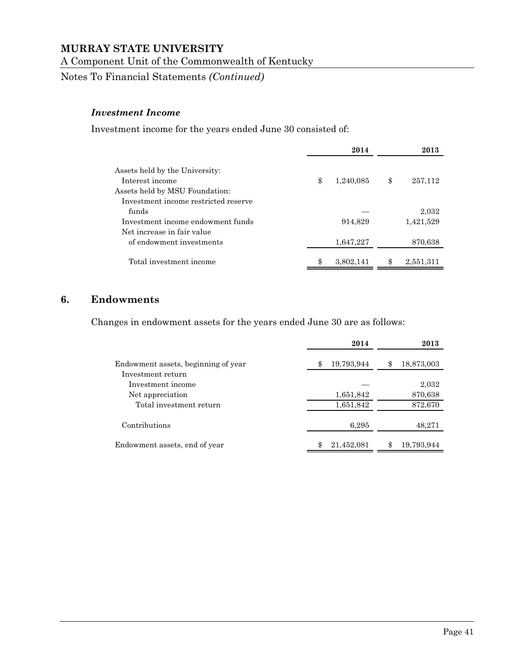A Component Unit of the Commonwealth of Kentucky

Notes To Financial Statements *(Continued)*

### *Investment Income*

Investment income for the years ended June 30 consisted of:

|                                                                        | 2014 |           | 2013            |
|------------------------------------------------------------------------|------|-----------|-----------------|
| Assets held by the University:<br>Interest income                      | \$   | 1,240,085 | \$<br>257,112   |
| Assets held by MSU Foundation:<br>Investment income restricted reserve |      |           |                 |
| funds                                                                  |      |           | 2,032           |
| Investment income endowment funds<br>Net increase in fair value        |      | 914,829   | 1,421,529       |
| of endowment investments                                               |      | 1,647,227 | 870,638         |
| Total investment income                                                | \$   | 3,802,141 | \$<br>2,551,311 |

## **6. Endowments**

Changes in endowment assets for the years ended June 30 are as follows:

|                                     | 2014             | 2013             |
|-------------------------------------|------------------|------------------|
| Endowment assets, beginning of year | 19,793,944<br>\$ | \$<br>18,873,003 |
| Investment return                   |                  |                  |
| Investment income                   |                  | 2,032            |
| Net appreciation                    | 1,651,842        | 870,638          |
| Total investment return             | 1,651,842        | 872,670          |
| Contributions                       | 6,295            | 48,271           |
| Endowment assets, end of year       | \$<br>21,452,081 | \$<br>19,793,944 |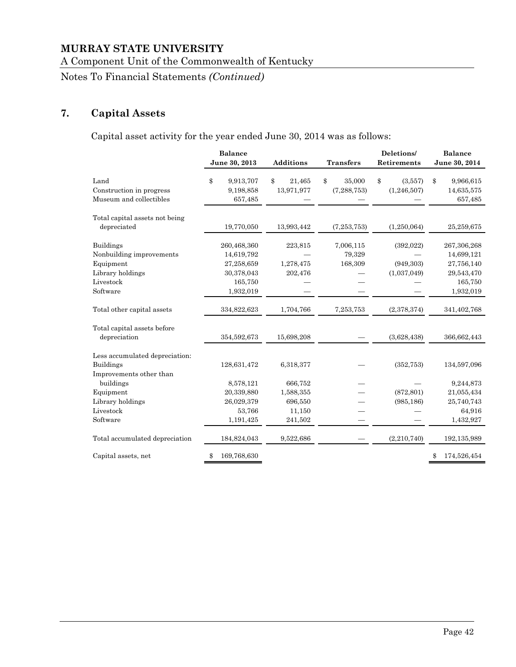A Component Unit of the Commonwealth of Kentucky

Notes To Financial Statements *(Continued)*

## **7. Capital Assets**

Capital asset activity for the year ended June 30, 2014 was as follows:

|                                                             | <b>Balance</b><br>June 30, 2013         | <b>Additions</b>           | <b>Transfers</b>              | Deletions/<br>Retirements      | <b>Balance</b><br>June 30, 2014          |
|-------------------------------------------------------------|-----------------------------------------|----------------------------|-------------------------------|--------------------------------|------------------------------------------|
| Land<br>Construction in progress<br>Museum and collectibles | \$<br>9,913,707<br>9,198,858<br>657,485 | \$<br>21,465<br>13,971,977 | \$<br>35,000<br>(7, 288, 753) | \$<br>(3.557)<br>(1, 246, 507) | \$<br>9,966,615<br>14,635,575<br>657,485 |
| Total capital assets not being                              |                                         |                            |                               |                                |                                          |
| depreciated                                                 | 19,770,050                              | 13,993,442                 | (7, 253, 753)                 | (1,250,064)                    | 25,259,675                               |
| <b>Buildings</b>                                            | 260,468,360                             | 223,815                    | 7,006,115                     | (392, 022)                     | 267,306,268                              |
| Nonbuilding improvements                                    | 14,619,792                              |                            | 79,329                        |                                | 14,699,121                               |
| Equipment                                                   | 27,258,659                              | 1,278,475                  | 168,309                       | (949, 303)                     | 27,756,140                               |
| Library holdings                                            | 30,378,043                              | 202,476                    |                               | (1,037,049)                    | 29,543,470                               |
| Livestock                                                   | 165,750                                 |                            |                               |                                | 165,750                                  |
| Software                                                    | 1,932,019                               |                            |                               |                                | 1,932,019                                |
| Total other capital assets                                  | 334,822,623                             | 1,704,766                  | 7,253,753                     | (2,378,374)                    | 341,402,768                              |
| Total capital assets before                                 |                                         |                            |                               |                                |                                          |
| depreciation                                                | 354,592,673                             | 15,698,208                 |                               | (3,628,438)                    | 366,662,443                              |
| Less accumulated depreciation:                              |                                         |                            |                               |                                |                                          |
| <b>Buildings</b>                                            | 128,631,472                             | 6,318,377                  |                               | (352, 753)                     | 134,597,096                              |
| Improvements other than                                     |                                         |                            |                               |                                |                                          |
| buildings                                                   | 8,578,121                               | 666,752                    |                               |                                | 9,244,873                                |
| Equipment                                                   | 20,339,880                              | 1,588,355                  |                               | (872, 801)                     | 21,055,434                               |
| Library holdings                                            | 26,029,379                              | 696,550                    |                               | (985, 186)                     | 25,740,743                               |
| Livestock                                                   | 53,766                                  | 11,150                     |                               |                                | 64,916                                   |
| Software                                                    | 1,191,425                               | 241,502                    |                               |                                | 1,432,927                                |
| Total accumulated depreciation                              | 184,824,043                             | 9,522,686                  |                               | (2,210,740)                    | 192, 135, 989                            |
| Capital assets, net                                         | 169,768,630<br>\$                       |                            |                               |                                | 174,526,454<br>\$                        |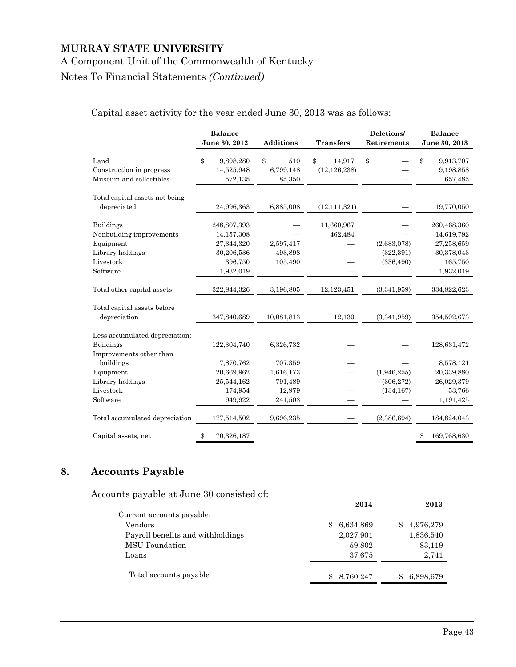## A Component Unit of the Commonwealth of Kentucky

# Notes To Financial Statements *(Continued)*

## Capital asset activity for the year ended June 30, 2013 was as follows:

|                                                                                                        | <b>Balance</b><br>June 30, 2012                                                 | <b>Additions</b>                          | <b>Transfers</b>                          | Deletions/<br>Retirements               | <b>Balance</b><br>June 30, 2013                                               |
|--------------------------------------------------------------------------------------------------------|---------------------------------------------------------------------------------|-------------------------------------------|-------------------------------------------|-----------------------------------------|-------------------------------------------------------------------------------|
| Land<br>Construction in progress<br>Museum and collectibles                                            | \$<br>9,898,280<br>14,525,948<br>572,135                                        | \$<br>510<br>6,799,148<br>85,350          | $\mathbf{\$}$<br>14,917<br>(12, 126, 238) | \$                                      | \$<br>9,913,707<br>9,198,858<br>657,485                                       |
| Total capital assets not being<br>depreciated                                                          | 24,996,363                                                                      | 6,885,008                                 | (12, 111, 321)                            |                                         | 19,770,050                                                                    |
| <b>Buildings</b><br>Nonbuilding improvements<br>Equipment<br>Library holdings<br>Livestock<br>Software | 248,807,393<br>14, 157, 308<br>27,344,320<br>30,206,536<br>396,750<br>1,932,019 | 2,597,417<br>493,898<br>105,490           | 11,660,967<br>462,484                     | (2,683,078)<br>(322, 391)<br>(336, 490) | 260,468,360<br>14,619,792<br>27,258,659<br>30,378,043<br>165,750<br>1,932,019 |
| Total other capital assets                                                                             | 322,844,326                                                                     | 3,196,805                                 | 12,123,451                                | (3,341,959)                             | 334,822,623                                                                   |
| Total capital assets before<br>depreciation                                                            | 347,840,689                                                                     | 10,081,813                                | 12,130                                    | (3,341,959)                             | 354,592,673                                                                   |
| Less accumulated depreciation:<br><b>Buildings</b><br>Improvements other than                          | 122,304,740                                                                     | 6,326,732                                 |                                           |                                         | 128,631,472                                                                   |
| buildings<br>Equipment<br>Library holdings<br>Livestock                                                | 7,870,762<br>20,669,962<br>25,544,162<br>174,954                                | 707,359<br>1,616,173<br>791,489<br>12,979 |                                           | (1,946,255)<br>(306, 272)<br>(134, 167) | 8,578,121<br>20,339,880<br>26,029,379<br>53,766                               |
| Software                                                                                               | 949,922                                                                         | 241,503                                   |                                           |                                         | 1,191,425                                                                     |
| Total accumulated depreciation<br>Capital assets, net                                                  | 177,514,502<br>170,326,187<br>\$                                                | 9,696,235                                 |                                           | (2,386,694)                             | 184,824,043<br>169,768,630                                                    |

## **8. Accounts Payable**

Accounts payable at June 30 consisted of:

|                                   | 2014            | 2013             |
|-----------------------------------|-----------------|------------------|
| Current accounts payable:         |                 |                  |
| Vendors                           | 6,634,869<br>\$ | 4,976,279<br>\$. |
| Payroll benefits and withholdings | 2,027,901       | 1,836,540        |
| MSU Foundation                    | 59,802          | 83,119           |
| Loans                             | 37,675          | 2,741            |
| Total accounts payable            | \$8,760,247     | 6,898,679<br>\$  |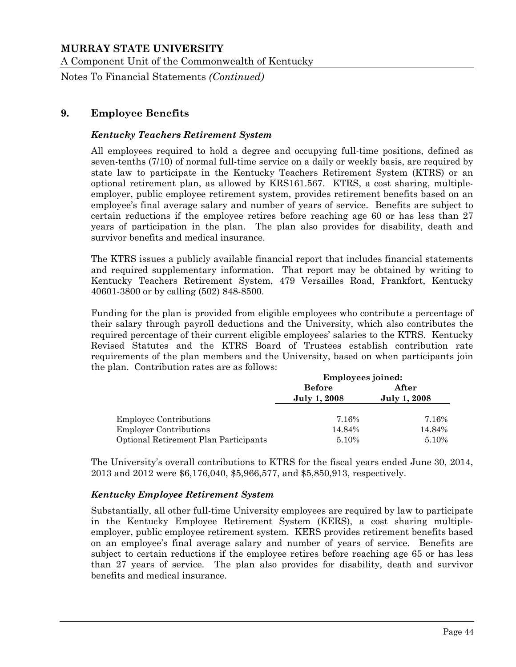A Component Unit of the Commonwealth of Kentucky

Notes To Financial Statements *(Continued)*

## **9. Employee Benefits**

## *Kentucky Teachers Retirement System*

All employees required to hold a degree and occupying full-time positions, defined as seven-tenths (7/10) of normal full-time service on a daily or weekly basis, are required by state law to participate in the Kentucky Teachers Retirement System (KTRS) or an optional retirement plan, as allowed by KRS161.567. KTRS, a cost sharing, multipleemployer, public employee retirement system, provides retirement benefits based on an employee's final average salary and number of years of service. Benefits are subject to certain reductions if the employee retires before reaching age 60 or has less than 27 years of participation in the plan. The plan also provides for disability, death and survivor benefits and medical insurance.

The KTRS issues a publicly available financial report that includes financial statements and required supplementary information. That report may be obtained by writing to Kentucky Teachers Retirement System, 479 Versailles Road, Frankfort, Kentucky 40601-3800 or by calling (502) 848-8500.

Funding for the plan is provided from eligible employees who contribute a percentage of their salary through payroll deductions and the University, which also contributes the required percentage of their current eligible employees' salaries to the KTRS. Kentucky Revised Statutes and the KTRS Board of Trustees establish contribution rate requirements of the plan members and the University, based on when participants join the plan. Contribution rates are as follows:

|                                       | <b>Employees joined:</b> |              |  |  |
|---------------------------------------|--------------------------|--------------|--|--|
|                                       | <b>Before</b>            | After        |  |  |
|                                       | <b>July 1, 2008</b>      | July 1, 2008 |  |  |
|                                       |                          |              |  |  |
| <b>Employee Contributions</b>         | 7.16%                    | 7.16%        |  |  |
| <b>Employer Contributions</b>         | 14.84%                   | 14.84%       |  |  |
| Optional Retirement Plan Participants | 5.10%                    | 5.10%        |  |  |

The University's overall contributions to KTRS for the fiscal years ended June 30, 2014, 2013 and 2012 were \$6,176,040, \$5,966,577, and \$5,850,913, respectively.

## *Kentucky Employee Retirement System*

Substantially, all other full-time University employees are required by law to participate in the Kentucky Employee Retirement System (KERS), a cost sharing multipleemployer, public employee retirement system. KERS provides retirement benefits based on an employee's final average salary and number of years of service. Benefits are subject to certain reductions if the employee retires before reaching age 65 or has less than 27 years of service. The plan also provides for disability, death and survivor benefits and medical insurance.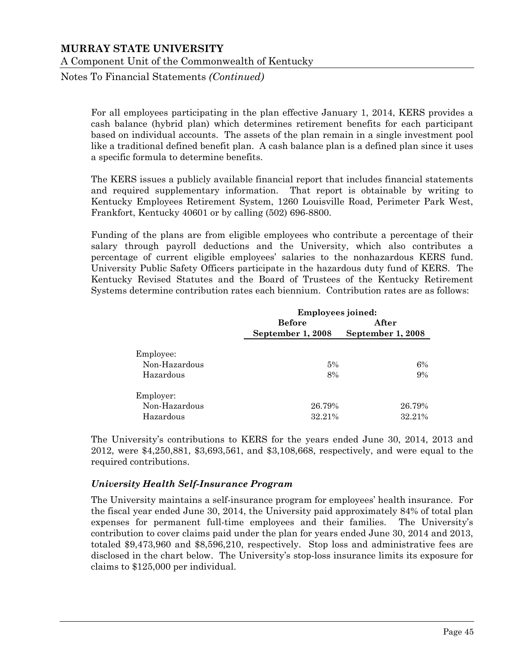Notes To Financial Statements *(Continued)*

For all employees participating in the plan effective January 1, 2014, KERS provides a cash balance (hybrid plan) which determines retirement benefits for each participant based on individual accounts. The assets of the plan remain in a single investment pool like a traditional defined benefit plan. A cash balance plan is a defined plan since it uses a specific formula to determine benefits.

The KERS issues a publicly available financial report that includes financial statements and required supplementary information. That report is obtainable by writing to Kentucky Employees Retirement System, 1260 Louisville Road, Perimeter Park West, Frankfort, Kentucky 40601 or by calling (502) 696-8800.

Funding of the plans are from eligible employees who contribute a percentage of their salary through payroll deductions and the University, which also contributes a percentage of current eligible employees' salaries to the nonhazardous KERS fund. University Public Safety Officers participate in the hazardous duty fund of KERS. The Kentucky Revised Statutes and the Board of Trustees of the Kentucky Retirement Systems determine contribution rates each biennium. Contribution rates are as follows:

|               | <b>Employees joined:</b> |                   |  |  |  |
|---------------|--------------------------|-------------------|--|--|--|
|               | <b>Before</b>            | After             |  |  |  |
|               | September 1, 2008        | September 1, 2008 |  |  |  |
| Employee:     |                          |                   |  |  |  |
| Non-Hazardous | 5%                       | 6%                |  |  |  |
| Hazardous     | 8%                       | 9%                |  |  |  |
| Employer:     |                          |                   |  |  |  |
| Non-Hazardous | 26.79%                   | 26.79%            |  |  |  |
| Hazardous     | 32.21%                   | 32.21%            |  |  |  |

The University's contributions to KERS for the years ended June 30, 2014, 2013 and 2012, were \$4,250,881, \$3,693,561, and \$3,108,668, respectively, and were equal to the required contributions.

#### *University Health Self-Insurance Program*

The University maintains a self-insurance program for employees' health insurance. For the fiscal year ended June 30, 2014, the University paid approximately 84% of total plan expenses for permanent full-time employees and their families. The University's contribution to cover claims paid under the plan for years ended June 30, 2014 and 2013, totaled \$9,473,960 and \$8,596,210, respectively. Stop loss and administrative fees are disclosed in the chart below. The University's stop-loss insurance limits its exposure for claims to \$125,000 per individual.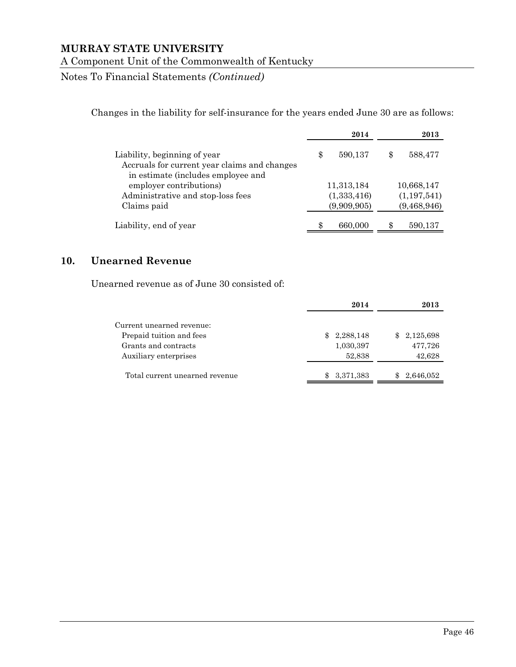## A Component Unit of the Commonwealth of Kentucky

Notes To Financial Statements *(Continued)*

Changes in the liability for self-insurance for the years ended June 30 are as follows:

|                                                                                                                    | 2014          | 2013          |
|--------------------------------------------------------------------------------------------------------------------|---------------|---------------|
| Liability, beginning of year<br>Accruals for current year claims and changes<br>in estimate (includes employee and | \$<br>590,137 | \$<br>588,477 |
| employer contributions)                                                                                            | 11,313,184    | 10,668,147    |
| Administrative and stop-loss fees                                                                                  | (1,333,416)   | (1, 197, 541) |
| Claims paid                                                                                                        | (9,909,905)   | (9,468,946)   |
| Liability, end of year                                                                                             | 660,000       | 590,137       |

## **10. Unearned Revenue**

Unearned revenue as of June 30 consisted of:

|                                                                               | 2014                          | 2013                                 |
|-------------------------------------------------------------------------------|-------------------------------|--------------------------------------|
| Current unearned revenue:<br>Prepaid tuition and fees<br>Grants and contracts | 2,288,148<br>\$.<br>1,030,397 | 2,125,698<br>$\mathbf{E}$<br>477,726 |
| Auxiliary enterprises                                                         | 52,838                        | 42,628                               |
| Total current unearned revenue                                                | 3,371,383<br>SS.              | 2,646,052                            |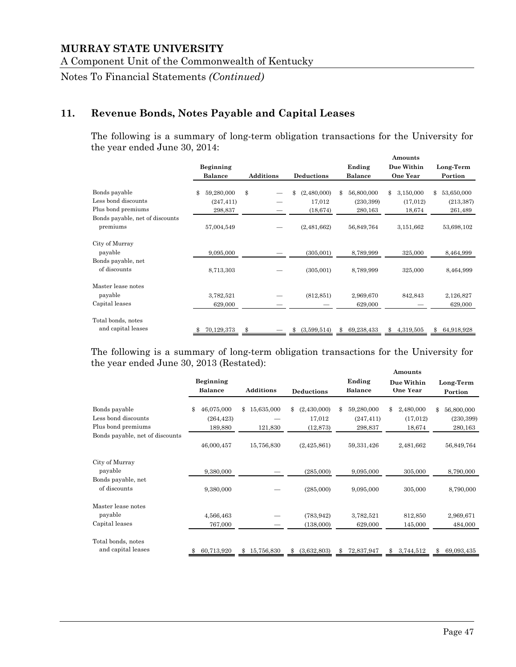A Component Unit of the Commonwealth of Kentucky

Notes To Financial Statements *(Continued)*

## **11. Revenue Bonds, Notes Payable and Capital Leases**

The following is a summary of long-term obligation transactions for the University for the year ended June 30, 2014:

|                                             |                  |                  |                   |                  | Amounts         |                          |
|---------------------------------------------|------------------|------------------|-------------------|------------------|-----------------|--------------------------|
|                                             | Beginning        |                  |                   | Ending           | Due Within      | Long-Term                |
|                                             | <b>Balance</b>   | <b>Additions</b> | <b>Deductions</b> | <b>Balance</b>   | <b>One Year</b> | Portion                  |
|                                             |                  |                  |                   |                  |                 |                          |
| Bonds payable                               | \$<br>59,280,000 | \$               | \$<br>(2,480,000) | 56,800,000<br>\$ | 3,150,000<br>\$ | 53,650,000<br>\$         |
| Less bond discounts                         | (247, 411)       |                  | 17,012            | (230, 399)       | (17, 012)       | (213, 387)               |
| Plus bond premiums                          | 298,837          |                  | (18, 674)         | 280,163          | 18,674          | 261,489                  |
| Bonds payable, net of discounts<br>premiums | 57,004,549       |                  | (2,481,662)       | 56,849,764       | 3,151,662       | 53,698,102               |
| City of Murray                              |                  |                  |                   |                  |                 |                          |
| payable                                     | 9,095,000        |                  | (305, 001)        | 8,789,999        | 325,000         | 8,464,999                |
| Bonds payable, net                          |                  |                  |                   |                  |                 |                          |
| of discounts                                | 8,713,303        |                  | (305,001)         | 8,789,999        | 325,000         | 8,464,999                |
| Master lease notes                          |                  |                  |                   |                  |                 |                          |
| payable                                     | 3,782,521        |                  | (812, 851)        | 2,969,670        | 842,843         | 2,126,827                |
| Capital leases                              | 629,000          |                  |                   | 629,000          |                 | 629,000                  |
| Total bonds, notes                          |                  |                  |                   |                  |                 |                          |
| and capital leases                          | 70,129,373<br>\$ | \$               | (3,599,514)<br>\$ | 69,238,433<br>\$ | 4,319,505<br>\$ | 64,918,928<br>$^{\circ}$ |

The following is a summary of long-term obligation transactions for the University for the year ended June 30, 2013 (Restated):

|                                 |                             |                             |                   |                          | Amounts                       |                      |
|---------------------------------|-----------------------------|-----------------------------|-------------------|--------------------------|-------------------------------|----------------------|
|                                 | Beginning<br><b>Balance</b> | <b>Additions</b>            | Deductions        | Ending<br><b>Balance</b> | Due Within<br><b>One Year</b> | Long-Term<br>Portion |
| Bonds payable                   | \$<br>46,075,000            | 15,635,000<br>$\mathbf{\$}$ | (2,430,000)<br>\$ | 59,280,000<br>\$         | \$<br>2,480,000               | 56,800,000<br>\$     |
| Less bond discounts             | (264, 423)                  |                             | 17,012            | (247, 411)               | (17, 012)                     | (230, 399)           |
| Plus bond premiums              | 189,880                     | 121,830                     | (12, 873)         | 298,837                  | 18,674                        | 280,163              |
| Bonds payable, net of discounts | 46,000,457                  | 15,756,830                  | (2,425,861)       | 59,331,426               | 2,481,662                     | 56,849,764           |
| City of Murray<br>payable       | 9,380,000                   |                             | (285,000)         | 9,095,000                | 305,000                       | 8,790,000            |
| Bonds payable, net              |                             |                             |                   |                          |                               |                      |
| of discounts                    | 9,380,000                   |                             | (285,000)         | 9,095,000                | 305,000                       | 8,790,000            |
| Master lease notes<br>payable   |                             |                             |                   |                          |                               |                      |
|                                 | 4,566,463                   |                             | (783, 942)        | 3,782,521                | 812,850                       | 2,969,671            |
| Capital leases                  | 767,000                     |                             | (138,000)         | 629,000                  | 145,000                       | 484,000              |
| Total bonds, notes              |                             |                             |                   |                          |                               |                      |
| and capital leases              | 60,713,920<br>\$            | 15,756,830<br>\$            | (3,632,803)<br>S  | 72,837,947<br>S          | 3,744,512<br>\$               | 69,093,435<br>S      |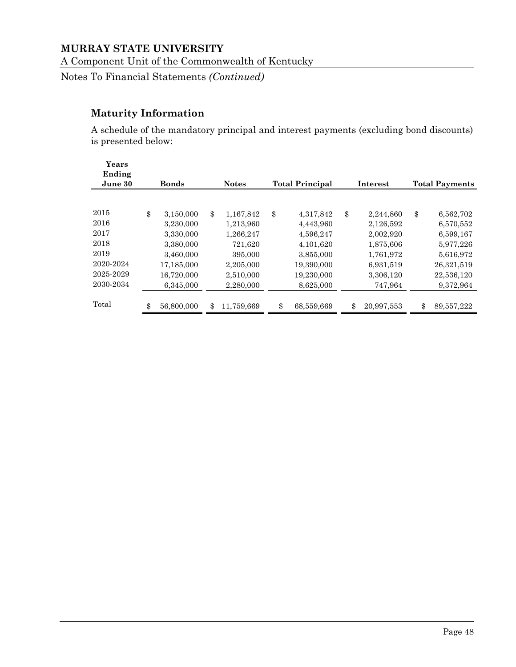A Component Unit of the Commonwealth of Kentucky

Notes To Financial Statements *(Continued)*

## **Maturity Information**

A schedule of the mandatory principal and interest payments (excluding bond discounts) is presented below:

| Years<br>Ending<br>June 30 | <b>Bonds</b>     | <b>Notes</b>     | <b>Total Principal</b> | Interest         | <b>Total Payments</b> |
|----------------------------|------------------|------------------|------------------------|------------------|-----------------------|
| 2015                       | \$<br>3.150.000  | \$<br>1.167.842  | \$<br>4,317,842        | \$<br>2,244,860  | \$<br>6,562,702       |
| 2016                       | 3,230,000        | 1,213,960        | 4,443,960              | 2,126,592        | 6,570,552             |
| 2017                       | 3,330,000        | 1,266,247        | 4,596,247              | 2,002,920        | 6,599,167             |
| 2018                       | 3,380,000        | 721,620          | 4,101,620              | 1,875,606        | 5,977,226             |
| 2019                       | 3,460,000        | 395,000          | 3,855,000              | 1,761,972        | 5,616,972             |
| 2020-2024                  | 17.185.000       | 2,205,000        | 19,390,000             | 6,931,519        | 26,321,519            |
| 2025-2029                  | 16,720,000       | 2,510,000        | 19,230,000             | 3,306,120        | 22,536,120            |
| 2030-2034                  | 6,345,000        | 2,280,000        | 8,625,000              | 747,964          | 9,372,964             |
| Total                      | \$<br>56,800,000 | \$<br>11,759,669 | \$<br>68,559,669       | \$<br>20,997,553 | \$<br>89,557,222      |
|                            |                  |                  |                        |                  |                       |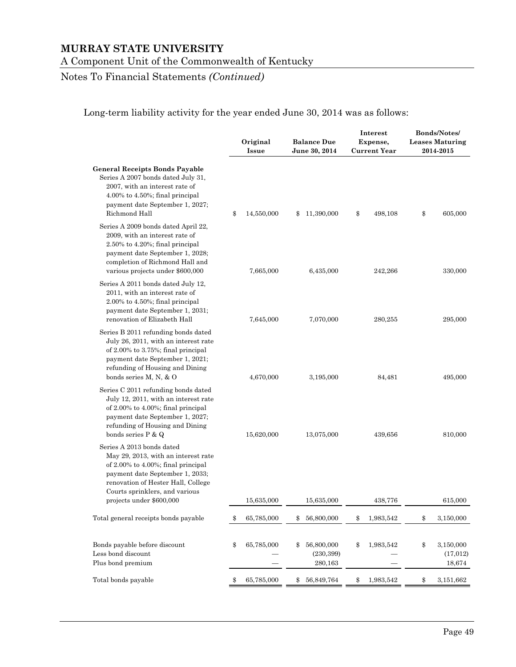A Component Unit of the Commonwealth of Kentucky

# Notes To Financial Statements *(Continued)*

## Long-term liability activity for the year ended June 30, 2014 was as follows:

|                                                                                                                                                                                                                           | Original<br><b>Issue</b> | <b>Balance Due</b><br>June 30, 2014       | Interest<br>Expense,<br><b>Current Year</b> | <b>Bonds/Notes/</b><br><b>Leases Maturing</b><br>2014-2015 |
|---------------------------------------------------------------------------------------------------------------------------------------------------------------------------------------------------------------------------|--------------------------|-------------------------------------------|---------------------------------------------|------------------------------------------------------------|
| <b>General Receipts Bonds Payable</b><br>Series A 2007 bonds dated July 31,<br>2007, with an interest rate of<br>$4.00\%$ to $4.50\%$ ; final principal<br>payment date September 1, 2027;<br>Richmond Hall               | \$<br>14,550,000         | 11,390,000<br>\$                          | 498,108<br>\$                               | 605,000<br>\$                                              |
| Series A 2009 bonds dated April 22,<br>2009, with an interest rate of<br>$2.50\%$ to $4.20\%$ ; final principal<br>payment date September 1, 2028;<br>completion of Richmond Hall and<br>various projects under \$600,000 | 7,665,000                | 6,435,000                                 | 242,266                                     | 330,000                                                    |
| Series A 2011 bonds dated July 12,<br>2011, with an interest rate of<br>$2.00\%$ to $4.50\%$ ; final principal<br>payment date September 1, 2031;<br>renovation of Elizabeth Hall                                         | 7,645,000                | 7,070,000                                 | 280,255                                     | 295,000                                                    |
| Series B 2011 refunding bonds dated<br>July 26, 2011, with an interest rate<br>of $2.00\%$ to $3.75\%$ ; final principal<br>payment date September 1, 2021;<br>refunding of Housing and Dining<br>bonds series M, N, & O  | 4,670,000                | 3,195,000                                 | 84,481                                      | 495,000                                                    |
| Series C 2011 refunding bonds dated<br>July 12, 2011, with an interest rate<br>of $2.00\%$ to $4.00\%$ ; final principal<br>payment date September 1, 2027;<br>refunding of Housing and Dining<br>bonds series $P & Q$    | 15,620,000               | 13,075,000                                | 439,656                                     | 810,000                                                    |
| Series A 2013 bonds dated<br>May 29, 2013, with an interest rate<br>of $2.00\%$ to $4.00\%$ ; final principal<br>payment date September 1, 2033;<br>renovation of Hester Hall, College<br>Courts sprinklers, and various  |                          |                                           |                                             |                                                            |
| projects under \$600,000                                                                                                                                                                                                  | 15,635,000               | 15,635,000                                | 438,776                                     | 615,000                                                    |
| Total general receipts bonds payable                                                                                                                                                                                      | \$<br>65,785,000         | \$<br>56,800,000                          | \$<br>1,983,542                             | \$<br>3,150,000                                            |
| Bonds payable before discount<br>Less bond discount<br>Plus bond premium                                                                                                                                                  | \$<br>65,785,000         | \$<br>56,800,000<br>(230, 399)<br>280,163 | \$<br>1,983,542                             | \$<br>3,150,000<br>(17, 012)<br>18,674                     |
| Total bonds payable                                                                                                                                                                                                       | 65,785,000<br>\$         | \$<br>56,849,764                          | 1,983,542<br>\$                             | \$<br>3,151,662                                            |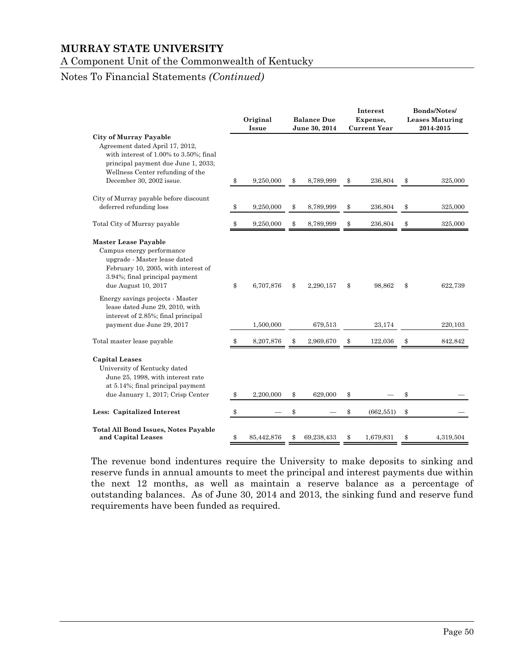A Component Unit of the Commonwealth of Kentucky

## Notes To Financial Statements *(Continued)*

|                                                                                                                                                                                                                              |    | Original<br>Issue | <b>Balance Due</b><br>June 30, 2014 | Interest<br>Expense,<br><b>Current Year</b> | Bonds/Notes/<br><b>Leases Maturing</b><br>2014-2015 |
|------------------------------------------------------------------------------------------------------------------------------------------------------------------------------------------------------------------------------|----|-------------------|-------------------------------------|---------------------------------------------|-----------------------------------------------------|
| <b>City of Murray Payable</b><br>Agreement dated April 17, 2012,<br>with interest of 1.00% to 3.50%; final<br>principal payment due June 1, 2033;<br>Wellness Center refunding of the                                        |    |                   |                                     |                                             |                                                     |
| December 30, 2002 issue.                                                                                                                                                                                                     | \$ | 9,250,000         | \$<br>8,789,999                     | \$<br>236,804                               | \$<br>325,000                                       |
| City of Murray payable before discount<br>deferred refunding loss                                                                                                                                                            | \$ | 9,250,000         | \$<br>8,789,999                     | \$<br>236,804                               | \$<br>325,000                                       |
| Total City of Murray payable                                                                                                                                                                                                 | \$ | 9,250,000         | \$<br>8,789,999                     | \$<br>236,804                               | \$<br>325,000                                       |
| <b>Master Lease Payable</b><br>Campus energy performance<br>upgrade - Master lease dated<br>February 10, 2005, with interest of<br>3.94%; final principal payment<br>due August 10, 2017<br>Energy savings projects - Master | \$ | 6,707,876         | \$<br>2,290,157                     | \$<br>98,862                                | \$<br>622,739                                       |
| lease dated June 29, 2010, with<br>interest of 2.85%; final principal<br>payment due June 29, 2017                                                                                                                           |    | 1.500.000         | 679,513                             | 23.174                                      | 220,103                                             |
| Total master lease payable                                                                                                                                                                                                   | S  | 8,207,876         | \$<br>2,969,670                     | \$<br>122,036                               | \$<br>842,842                                       |
| <b>Capital Leases</b><br>University of Kentucky dated<br>June 25, 1998, with interest rate<br>at 5.14%; final principal payment<br>due January 1, 2017; Crisp Center                                                         | \$ | 2,200,000         | \$<br>629,000                       | \$                                          | \$                                                  |
| Less: Capitalized Interest                                                                                                                                                                                                   | \$ |                   | \$                                  | \$<br>(662, 551)                            | \$                                                  |
| <b>Total All Bond Issues, Notes Payable</b><br>and Capital Leases                                                                                                                                                            | \$ | 85,442,876        | \$<br>69,238,433                    | \$<br>1,679,831                             | \$<br>4,319,504                                     |

The revenue bond indentures require the University to make deposits to sinking and reserve funds in annual amounts to meet the principal and interest payments due within the next 12 months, as well as maintain a reserve balance as a percentage of outstanding balances. As of June 30, 2014 and 2013, the sinking fund and reserve fund requirements have been funded as required.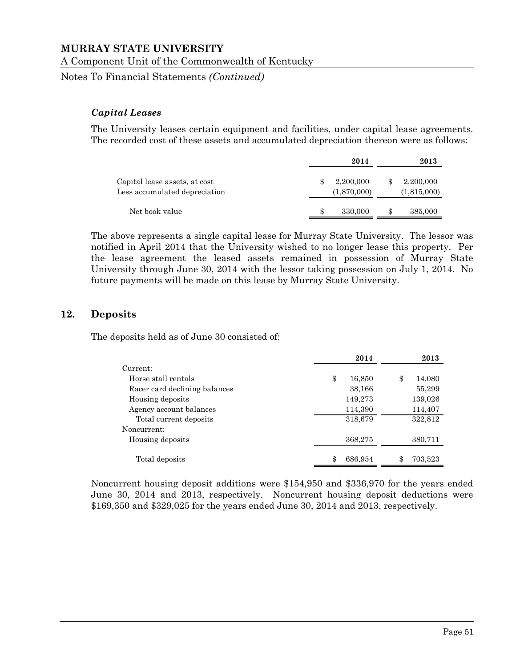A Component Unit of the Commonwealth of Kentucky

Notes To Financial Statements *(Continued)*

#### *Capital Leases*

The University leases certain equipment and facilities, under capital lease agreements. The recorded cost of these assets and accumulated depreciation thereon were as follows:

|                                                                |   | 2014                     | 2013                     |
|----------------------------------------------------------------|---|--------------------------|--------------------------|
| Capital lease assets, at cost<br>Less accumulated depreciation |   | 2,200,000<br>(1,870,000) | 2,200,000<br>(1,815,000) |
| Net book value                                                 | S | 330,000                  | \$<br>385,000            |

The above represents a single capital lease for Murray State University. The lessor was notified in April 2014 that the University wished to no longer lease this property. Per the lease agreement the leased assets remained in possession of Murray State University through June 30, 2014 with the lessor taking possession on July 1, 2014. No future payments will be made on this lease by Murray State University.

## **12. Deposits**

The deposits held as of June 30 consisted of:

|                               | 2014          | 2013          |
|-------------------------------|---------------|---------------|
| Current:                      |               |               |
| Horse stall rentals           | \$<br>16,850  | \$<br>14,080  |
| Racer card declining balances | 38,166        | 55,299        |
| Housing deposits              | 149,273       | 139,026       |
| Agency account balances       | 114,390       | 114,407       |
| Total current deposits        | 318,679       | 322,812       |
| Noncurrent:                   |               |               |
| Housing deposits              | 368,275       | 380,711       |
| Total deposits                | \$<br>686,954 | \$<br>703,523 |
|                               |               |               |

Noncurrent housing deposit additions were \$154,950 and \$336,970 for the years ended June 30, 2014 and 2013, respectively. Noncurrent housing deposit deductions were \$169,350 and \$329,025 for the years ended June 30, 2014 and 2013, respectively.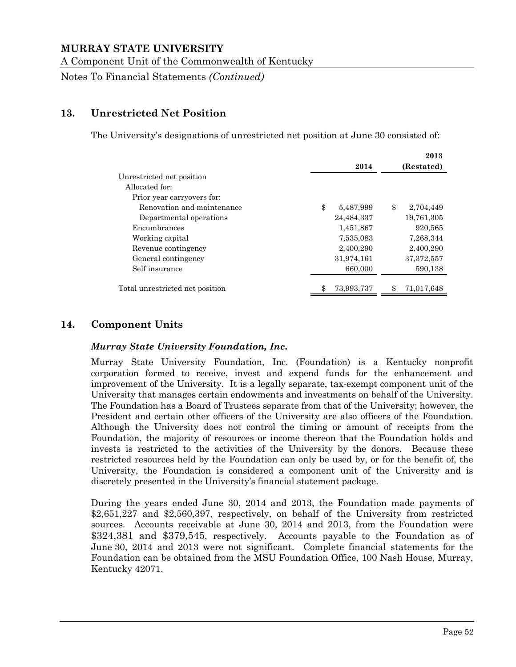A Component Unit of the Commonwealth of Kentucky

Notes To Financial Statements *(Continued)*

## **13. Unrestricted Net Position**

The University's designations of unrestricted net position at June 30 consisted of:

|                  | 2013             |
|------------------|------------------|
| 2014             | (Restated)       |
|                  |                  |
|                  |                  |
|                  |                  |
| \$<br>5,487,999  | \$<br>2,704,449  |
| 24,484,337       | 19,761,305       |
| 1,451,867        | 920,565          |
| 7,535,083        | 7,268,344        |
| 2,400,290        | 2,400,290        |
| 31,974,161       | 37, 372, 557     |
| 660,000          | 590,138          |
| \$<br>73,993,737 | \$<br>71.017.648 |
|                  |                  |

## **14. Component Units**

#### *Murray State University Foundation, Inc.*

Murray State University Foundation, Inc. (Foundation) is a Kentucky nonprofit corporation formed to receive, invest and expend funds for the enhancement and improvement of the University. It is a legally separate, tax-exempt component unit of the University that manages certain endowments and investments on behalf of the University. The Foundation has a Board of Trustees separate from that of the University; however, the President and certain other officers of the University are also officers of the Foundation. Although the University does not control the timing or amount of receipts from the Foundation, the majority of resources or income thereon that the Foundation holds and invests is restricted to the activities of the University by the donors. Because these restricted resources held by the Foundation can only be used by, or for the benefit of, the University, the Foundation is considered a component unit of the University and is discretely presented in the University's financial statement package.

During the years ended June 30, 2014 and 2013, the Foundation made payments of \$2,651,227 and \$2,560,397, respectively, on behalf of the University from restricted sources. Accounts receivable at June 30, 2014 and 2013, from the Foundation were \$324,381 and \$379,545, respectively. Accounts payable to the Foundation as of June 30, 2014 and 2013 were not significant. Complete financial statements for the Foundation can be obtained from the MSU Foundation Office, 100 Nash House, Murray, Kentucky 42071.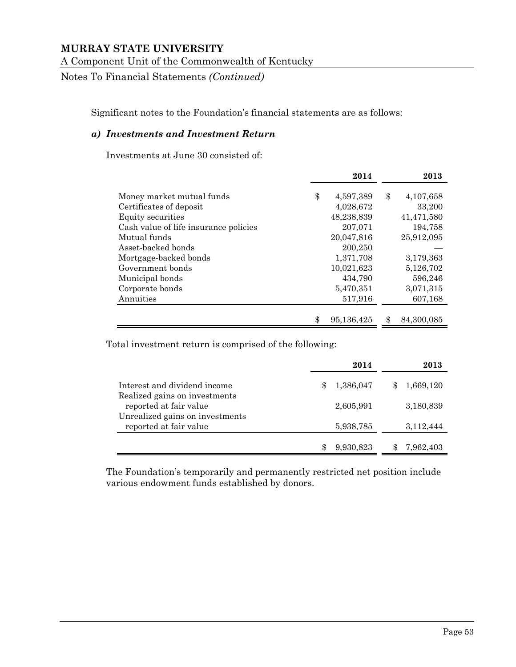Notes To Financial Statements *(Continued)*

Significant notes to the Foundation's financial statements are as follows:

#### *a) Investments and Investment Return*

Investments at June 30 consisted of:

|                                       | 2014               | 2013             |
|---------------------------------------|--------------------|------------------|
|                                       |                    |                  |
| Money market mutual funds             | \$<br>4,597,389    | \$<br>4,107,658  |
| Certificates of deposit               | 4,028,672          | 33,200           |
| Equity securities                     | 48,238,839         | 41,471,580       |
| Cash value of life insurance policies | 207,071            | 194,758          |
| Mutual funds                          | 20,047,816         | 25,912,095       |
| Asset-backed bonds                    | 200,250            |                  |
| Mortgage-backed bonds                 | 1,371,708          | 3,179,363        |
| Government bonds                      | 10,021,623         | 5,126,702        |
| Municipal bonds                       | 434,790            | 596,246          |
| Corporate bonds                       | 5,470,351          | 3,071,315        |
| Annuities                             | 517,916            | 607,168          |
|                                       |                    |                  |
|                                       | \$<br>95, 136, 425 | \$<br>84,300,085 |

Total investment return is comprised of the following:

|                                                           |    | 2014      |    | 2013      |
|-----------------------------------------------------------|----|-----------|----|-----------|
| Interest and dividend income                              | Ж, | 1,386,047 | Ж, | 1,669,120 |
| Realized gains on investments<br>reported at fair value   |    | 2,605,991 |    | 3,180,839 |
| Unrealized gains on investments<br>reported at fair value |    | 5,938,785 |    | 3,112,444 |
|                                                           |    | 9,930,823 |    | 7,962,403 |

The Foundation's temporarily and permanently restricted net position include various endowment funds established by donors.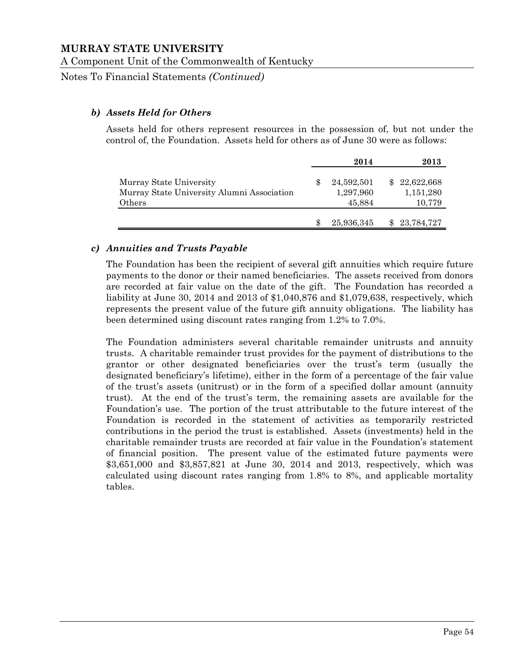A Component Unit of the Commonwealth of Kentucky

Notes To Financial Statements *(Continued)*

### *b) Assets Held for Others*

Assets held for others represent resources in the possession of, but not under the control of, the Foundation. Assets held for others as of June 30 were as follows:

|                                                                                 |   | 2014                              | 2013                                     |
|---------------------------------------------------------------------------------|---|-----------------------------------|------------------------------------------|
| Murray State University<br>Murray State University Alumni Association<br>Others | ж | 24,592,501<br>1,297,960<br>45,884 | 22,622,668<br>\$.<br>1,151,280<br>10,779 |
|                                                                                 |   | 25,936,345                        | 23,784,727                               |

#### *c) Annuities and Trusts Payable*

The Foundation has been the recipient of several gift annuities which require future payments to the donor or their named beneficiaries. The assets received from donors are recorded at fair value on the date of the gift. The Foundation has recorded a liability at June 30, 2014 and 2013 of \$1,040,876 and \$1,079,638, respectively, which represents the present value of the future gift annuity obligations. The liability has been determined using discount rates ranging from 1.2% to 7.0%.

The Foundation administers several charitable remainder unitrusts and annuity trusts. A charitable remainder trust provides for the payment of distributions to the grantor or other designated beneficiaries over the trust's term (usually the designated beneficiary's lifetime), either in the form of a percentage of the fair value of the trust's assets (unitrust) or in the form of a specified dollar amount (annuity trust). At the end of the trust's term, the remaining assets are available for the Foundation's use. The portion of the trust attributable to the future interest of the Foundation is recorded in the statement of activities as temporarily restricted contributions in the period the trust is established. Assets (investments) held in the charitable remainder trusts are recorded at fair value in the Foundation's statement of financial position. The present value of the estimated future payments were \$3,651,000 and \$3,857,821 at June 30, 2014 and 2013, respectively, which was calculated using discount rates ranging from 1.8% to 8%, and applicable mortality tables.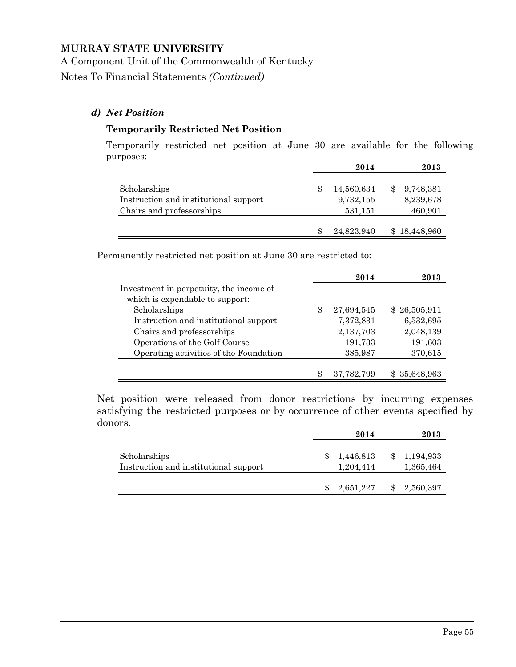A Component Unit of the Commonwealth of Kentucky

Notes To Financial Statements *(Continued)*

#### *d) Net Position*

#### **Temporarily Restricted Net Position**

Temporarily restricted net position at June 30 are available for the following purposes:

|                                       | 2014       | 2013         |
|---------------------------------------|------------|--------------|
|                                       |            |              |
| Scholarships                          | 14,560,634 | 9,748,381    |
| Instruction and institutional support | 9,732,155  | 8,239,678    |
| Chairs and professorships             | 531,151    | 460,901      |
|                                       | 24,823,940 | \$18,448,960 |

Permanently restricted net position at June 30 are restricted to:

|                                         | 2014             | 2013         |
|-----------------------------------------|------------------|--------------|
| Investment in perpetuity, the income of |                  |              |
| which is expendable to support:         |                  |              |
| Scholarships                            | \$<br>27,694,545 | \$26,505,911 |
| Instruction and institutional support   | 7,372,831        | 6,532,695    |
| Chairs and professorships               | 2,137,703        | 2,048,139    |
| Operations of the Golf Course           | 191,733          | 191,603      |
| Operating activities of the Foundation  | 385,987          | 370,615      |
|                                         |                  |              |
|                                         | 37,782,799       | \$35,648,963 |

Net position were released from donor restrictions by incurring expenses satisfying the restricted purposes or by occurrence of other events specified by donors.

|                                                       | 2014 |                        |    | 2013                   |  |
|-------------------------------------------------------|------|------------------------|----|------------------------|--|
| Scholarships<br>Instruction and institutional support |      | 1,446,813<br>1,204,414 | \$ | 1,194,933<br>1,365,464 |  |
|                                                       |      | 2,651,227              |    | 2,560,397              |  |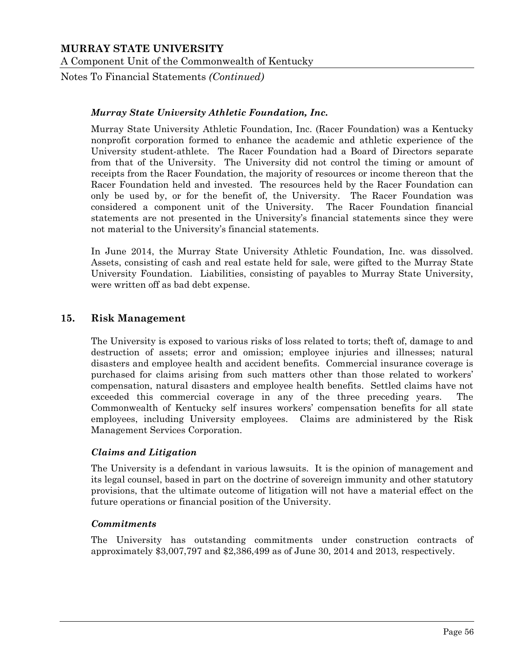Notes To Financial Statements *(Continued)*

### *Murray State University Athletic Foundation, Inc.*

Murray State University Athletic Foundation, Inc. (Racer Foundation) was a Kentucky nonprofit corporation formed to enhance the academic and athletic experience of the University student-athlete. The Racer Foundation had a Board of Directors separate from that of the University. The University did not control the timing or amount of receipts from the Racer Foundation, the majority of resources or income thereon that the Racer Foundation held and invested. The resources held by the Racer Foundation can only be used by, or for the benefit of, the University. The Racer Foundation was considered a component unit of the University. The Racer Foundation financial statements are not presented in the University's financial statements since they were not material to the University's financial statements.

In June 2014, the Murray State University Athletic Foundation, Inc. was dissolved. Assets, consisting of cash and real estate held for sale, were gifted to the Murray State University Foundation. Liabilities, consisting of payables to Murray State University, were written off as bad debt expense.

## **15. Risk Management**

The University is exposed to various risks of loss related to torts; theft of, damage to and destruction of assets; error and omission; employee injuries and illnesses; natural disasters and employee health and accident benefits. Commercial insurance coverage is purchased for claims arising from such matters other than those related to workers' compensation, natural disasters and employee health benefits. Settled claims have not exceeded this commercial coverage in any of the three preceding years. The Commonwealth of Kentucky self insures workers' compensation benefits for all state employees, including University employees. Claims are administered by the Risk Management Services Corporation.

## *Claims and Litigation*

The University is a defendant in various lawsuits. It is the opinion of management and its legal counsel, based in part on the doctrine of sovereign immunity and other statutory provisions, that the ultimate outcome of litigation will not have a material effect on the future operations or financial position of the University.

#### *Commitments*

The University has outstanding commitments under construction contracts of approximately \$3,007,797 and \$2,386,499 as of June 30, 2014 and 2013, respectively.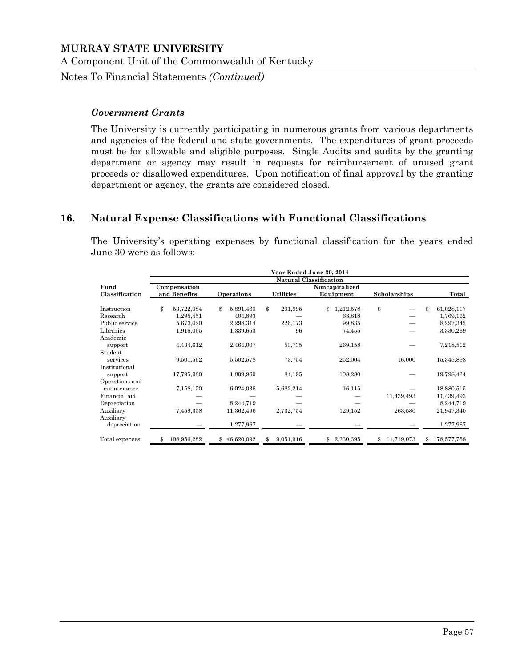Notes To Financial Statements *(Continued)*

#### *Government Grants*

The University is currently participating in numerous grants from various departments and agencies of the federal and state governments. The expenditures of grant proceeds must be for allowable and eligible purposes. Single Audits and audits by the granting department or agency may result in requests for reimbursement of unused grant proceeds or disallowed expenditures. Upon notification of final approval by the granting department or agency, the grants are considered closed.

## **16. Natural Expense Classifications with Functional Classifications**

The University's operating expenses by functional classification for the years ended June 30 were as follows:

|                |                  |                  |                  | Year Ended June 30, 2014      |                  |                   |
|----------------|------------------|------------------|------------------|-------------------------------|------------------|-------------------|
|                |                  |                  |                  | <b>Natural Classification</b> |                  |                   |
| Fund           | Compensation     |                  |                  | Noncapitalized                |                  |                   |
| Classification | and Benefits     | Operations       | <b>Utilities</b> | Equipment                     | Scholarships     | Total             |
| Instruction    | \$<br>53,722,084 | \$<br>5,891,460  | \$<br>201,995    | 1,212,578<br>\$               | \$               | \$<br>61,028,117  |
| Research       | 1,295,451        | 404,893          |                  | 68,818                        |                  | 1,769,162         |
| Public service | 5,673,020        | 2,298,314        | 226,173          | 99,835                        |                  | 8,297,342         |
| Libraries      | 1,916,065        | 1,339,653        | 96               | 74,455                        |                  | 3,330,269         |
| Academic       |                  |                  |                  |                               |                  |                   |
| support        | 4,434,612        | 2,464,007        | 50,735           | 269,158                       |                  | 7,218,512         |
| Student        |                  |                  |                  |                               |                  |                   |
| services       | 9,501,562        | 5,502,578        | 73,754           | 252,004                       | 16,000           | 15,345,898        |
| Institutional  |                  |                  |                  |                               |                  |                   |
| support        | 17,795,980       | 1,809,969        | 84,195           | 108,280                       |                  | 19,798,424        |
| Operations and |                  |                  |                  |                               |                  |                   |
| maintenance    | 7,158,150        | 6,024,036        | 5,682,214        | 16,115                        |                  | 18,880,515        |
| Financial aid  |                  |                  |                  |                               | 11,439,493       | 11,439,493        |
| Depreciation   |                  | 8,244,719        |                  |                               |                  | 8,244,719         |
| Auxiliary      | 7,459,358        | 11,362,496       | 2,732,754        | 129,152                       | 263,580          | 21,947,340        |
| Auxiliary      |                  |                  |                  |                               |                  |                   |
| depreciation   |                  | 1,277,967        |                  |                               |                  | 1,277,967         |
| Total expenses | 108,956,282      | 46,620,092<br>\$ | 9,051,916<br>\$  | 2,230,395<br>\$               | 11,719,073<br>\$ | 178,577,758<br>\$ |
|                |                  |                  |                  |                               |                  |                   |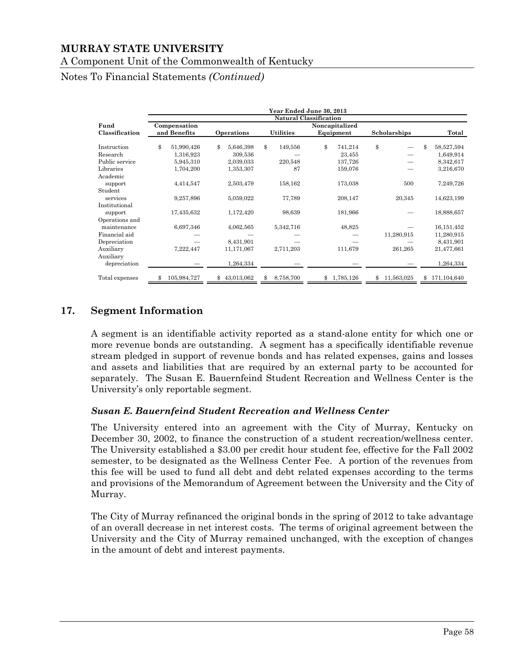Notes To Financial Statements *(Continued)*

|                | Year Ended June 30, 2013<br><b>Natural Classification</b> |                 |                  |               |                  |                   |  |  |
|----------------|-----------------------------------------------------------|-----------------|------------------|---------------|------------------|-------------------|--|--|
| Fund           | Compensation                                              |                 |                  |               |                  |                   |  |  |
| Classification | and Benefits                                              | Operations      | <b>Utilities</b> | Equipment     | Scholarships     | Total             |  |  |
| Instruction    | \$<br>51,990,426                                          | \$<br>5,646,398 | \$<br>149,556    | \$<br>741,214 | \$               | \$<br>58,527,594  |  |  |
| Research       | 1,316,923                                                 | 309,536         |                  | 23,455        |                  | 1,649,914         |  |  |
| Public service | 5,945,310                                                 | 2,039,033       | 220,548          | 137,726       |                  | 8,342,617         |  |  |
| Libraries      | 1,704,200                                                 | 1,353,307       | 87               | 159,076       |                  | 3,216,670         |  |  |
| Academic       |                                                           |                 |                  |               |                  |                   |  |  |
| support        | 4,414,547                                                 | 2,503,479       | 158,162          | 173,038       | 500              | 7,249,726         |  |  |
| Student        |                                                           |                 |                  |               |                  |                   |  |  |
| services       | 9,257,896                                                 | 5,059,022       | 77,789           | 208,147       | 20,345           | 14,623,199        |  |  |
| Institutional  |                                                           |                 |                  |               |                  |                   |  |  |
| support        | 17,435,632                                                | 1,172,420       | 98,639           | 181,966       |                  | 18,888,657        |  |  |
| Operations and |                                                           |                 |                  |               |                  |                   |  |  |
| maintenance    | 6,697,346                                                 | 4,062,565       | 5,342,716        | 48,825        |                  | 16, 151, 452      |  |  |
| Financial aid  |                                                           |                 |                  |               | 11,280,915       | 11,280,915        |  |  |
| Depreciation   |                                                           | 8,431,901       |                  |               |                  | 8,431,901         |  |  |
| Auxiliary      | 7,222,447                                                 | 11,171,067      | 2,711,203        | 111,679       | 261,265          | 21,477,661        |  |  |
| Auxiliary      |                                                           |                 |                  |               |                  |                   |  |  |
| depreciation   |                                                           | 1,264,334       |                  |               |                  | 1,264,334         |  |  |
| Total expenses | 105,984,727                                               | \$43,013,062    | 8,758,700        | \$1,785,126   | 11,563,025<br>\$ | 171,104,640<br>\$ |  |  |

## **17. Segment Information**

A segment is an identifiable activity reported as a stand-alone entity for which one or more revenue bonds are outstanding. A segment has a specifically identifiable revenue stream pledged in support of revenue bonds and has related expenses, gains and losses and assets and liabilities that are required by an external party to be accounted for separately. The Susan E. Bauernfeind Student Recreation and Wellness Center is the University's only reportable segment.

#### *Susan E. Bauernfeind Student Recreation and Wellness Center*

The University entered into an agreement with the City of Murray, Kentucky on December 30, 2002, to finance the construction of a student recreation/wellness center. The University established a \$3.00 per credit hour student fee, effective for the Fall 2002 semester, to be designated as the Wellness Center Fee. A portion of the revenues from this fee will be used to fund all debt and debt related expenses according to the terms and provisions of the Memorandum of Agreement between the University and the City of Murray.

The City of Murray refinanced the original bonds in the spring of 2012 to take advantage of an overall decrease in net interest costs. The terms of original agreement between the University and the City of Murray remained unchanged, with the exception of changes in the amount of debt and interest payments.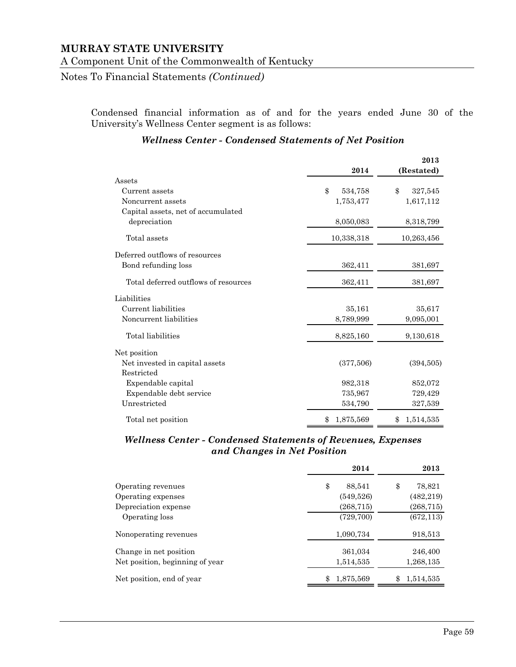Notes To Financial Statements *(Continued)*

Condensed financial information as of and for the years ended June 30 of the University's Wellness Center segment is as follows:

|                                      | 2014          | 2013<br>(Restated)      |
|--------------------------------------|---------------|-------------------------|
| Assets                               |               |                         |
| Current assets                       | \$<br>534,758 | $\mathbb{S}$<br>327,545 |
| Noncurrent assets                    | 1,753,477     | 1,617,112               |
| Capital assets, net of accumulated   |               |                         |
| depreciation                         | 8,050,083     | 8,318,799               |
| Total assets                         | 10,338,318    | 10,263,456              |
| Deferred outflows of resources       |               |                         |
| Bond refunding loss                  | 362,411       | 381,697                 |
| Total deferred outflows of resources | 362,411       | 381,697                 |
| Liabilities                          |               |                         |
| Current liabilities                  | 35,161        | 35,617                  |
| Noncurrent liabilities               | 8,789,999     | 9,095,001               |
| Total liabilities                    | 8,825,160     | 9,130,618               |
| Net position                         |               |                         |
| Net invested in capital assets       | (377,506)     | (394,505)               |
| Restricted                           |               |                         |
| Expendable capital                   | 982,318       | 852,072                 |
| Expendable debt service              | 735,967       | 729,429                 |
| Unrestricted                         | 534,790       | 327,539                 |
| Total net position                   | 1,875,569     | 1,514,535<br>\$         |

#### *Wellness Center - Condensed Statements of Net Position*

#### *Wellness Center - Condensed Statements of Revenues, Expenses and Changes in Net Position*

|                                 | 2014            | 2013             |
|---------------------------------|-----------------|------------------|
| Operating revenues              | \$<br>88.541    | 78,821<br>\$     |
| Operating expenses              | (549, 526)      | (482, 219)       |
| Depreciation expense            | (268, 715)      | (268, 715)       |
| Operating loss                  | (729, 700)      | (672, 113)       |
| Nonoperating revenues           | 1,090,734       | 918,513          |
| Change in net position          | 361,034         | 246,400          |
| Net position, beginning of year | 1,514,535       | 1,268,135        |
| Net position, end of year       | 1,875,569<br>\$ | 1,514,535<br>\$. |